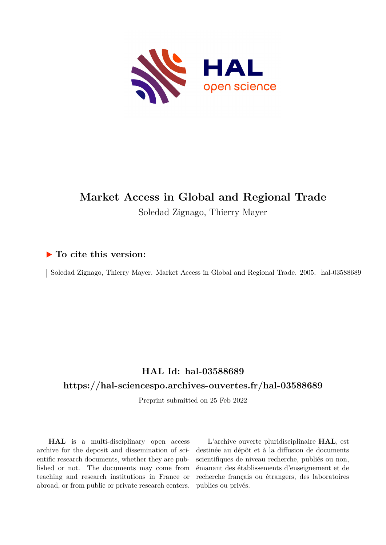

# **Market Access in Global and Regional Trade** Soledad Zignago, Thierry Mayer

## **To cite this version:**

Soledad Zignago, Thierry Mayer. Market Access in Global and Regional Trade. 2005. hal-03588689

# **HAL Id: hal-03588689**

### **<https://hal-sciencespo.archives-ouvertes.fr/hal-03588689>**

Preprint submitted on 25 Feb 2022

**HAL** is a multi-disciplinary open access archive for the deposit and dissemination of scientific research documents, whether they are published or not. The documents may come from teaching and research institutions in France or abroad, or from public or private research centers.

L'archive ouverte pluridisciplinaire **HAL**, est destinée au dépôt et à la diffusion de documents scientifiques de niveau recherche, publiés ou non, émanant des établissements d'enseignement et de recherche français ou étrangers, des laboratoires publics ou privés.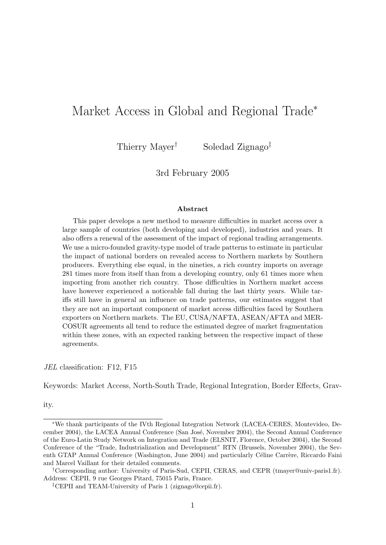# Market Access in Global and Regional Trade<sup>∗</sup>

Thierry Mayer<sup>†</sup> Soledad Zignago<sup>‡</sup>

3rd February 2005

#### Abstract

This paper develops a new method to measure difficulties in market access over a large sample of countries (both developing and developed), industries and years. It also offers a renewal of the assessment of the impact of regional trading arrangements. We use a micro-founded gravity-type model of trade patterns to estimate in particular the impact of national borders on revealed access to Northern markets by Southern producers. Everything else equal, in the nineties, a rich country imports on average 281 times more from itself than from a developing country, only 61 times more when importing from another rich country. Those difficulties in Northern market access have however experienced a noticeable fall during the last thirty years. While tariffs still have in general an influence on trade patterns, our estimates suggest that they are not an important component of market access difficulties faced by Southern exporters on Northern markets. The EU, CUSA/NAFTA, ASEAN/AFTA and MER-COSUR agreements all tend to reduce the estimated degree of market fragmentation within these zones, with an expected ranking between the respective impact of these agreements.

JEL classification: F12, F15

Keywords: Market Access, North-South Trade, Regional Integration, Border Effects, Grav-

ity.

<sup>∗</sup>We thank participants of the IVth Regional Integration Network (LACEA-CERES, Montevideo, December 2004), the LACEA Annual Conference (San José, November 2004), the Second Annual Conference of the Euro-Latin Study Network on Integration and Trade (ELSNIT, Florence, October 2004), the Second Conference of the "Trade, Industrialization and Development" RTN (Brussels, November 2004), the Seventh GTAP Annual Conference (Washington, June 2004) and particularly Céline Carrère, Riccardo Faini and Marcel Vaillant for their detailed comments.

<sup>†</sup>Corresponding author: University of Paris-Sud, CEPII, CERAS, and CEPR (tmayer@univ-paris1.fr). Address: CEPII, 9 rue Georges Pitard, 75015 Paris, France.

<sup>‡</sup>CEPII and TEAM-University of Paris 1 (zignago@cepii.fr).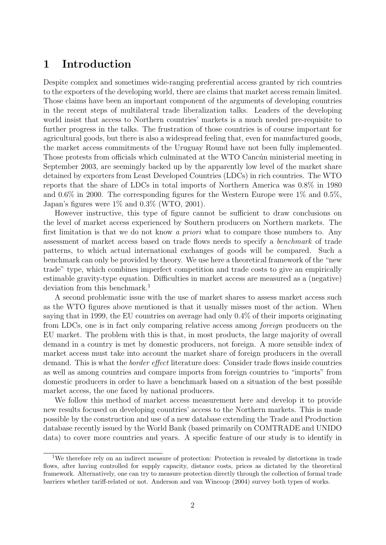# 1 Introduction

Despite complex and sometimes wide-ranging preferential access granted by rich countries to the exporters of the developing world, there are claims that market access remain limited. Those claims have been an important component of the arguments of developing countries in the recent steps of multilateral trade liberalization talks. Leaders of the developing world insist that access to Northern countries' markets is a much needed pre-requisite to further progress in the talks. The frustration of those countries is of course important for agricultural goods, but there is also a widespread feeling that, even for manufactured goods, the market access commitments of the Uruguay Round have not been fully implemented. Those protests from officials which culminated at the WTO Cancún ministerial meeting in September 2003, are seemingly backed up by the apparently low level of the market share detained by exporters from Least Developed Countries (LDCs) in rich countries. The WTO reports that the share of LDCs in total imports of Northern America was 0.8% in 1980 and 0.6% in 2000. The corresponding figures for the Western Europe were 1% and 0.5%, Japan's figures were  $1\%$  and  $0.3\%$  (WTO, 2001).

However instructive, this type of figure cannot be sufficient to draw conclusions on the level of market access experienced by Southern producers on Northern markets. The first limitation is that we do not know a priori what to compare those numbers to. Any assessment of market access based on trade flows needs to specify a benchmark of trade patterns, to which actual international exchanges of goods will be compared. Such a benchmark can only be provided by theory. We use here a theoretical framework of the "new trade" type, which combines imperfect competition and trade costs to give an empirically estimable gravity-type equation. Difficulties in market access are measured as a (negative) deviation from this benchmark.<sup>1</sup>

A second problematic issue with the use of market shares to assess market access such as the WTO figures above mentioned is that it usually misses most of the action. When saying that in 1999, the EU countries on average had only 0.4% of their imports originating from LDCs, one is in fact only comparing relative access among foreign producers on the EU market. The problem with this is that, in most products, the large majority of overall demand in a country is met by domestic producers, not foreign. A more sensible index of market access must take into account the market share of foreign producers in the overall demand. This is what the *border effect* literature does: Consider trade flows inside countries as well as among countries and compare imports from foreign countries to "imports" from domestic producers in order to have a benchmark based on a situation of the best possible market access, the one faced by national producers.

We follow this method of market access measurement here and develop it to provide new results focused on developing countries' access to the Northern markets. This is made possible by the construction and use of a new database extending the Trade and Production database recently issued by the World Bank (based primarily on COMTRADE and UNIDO data) to cover more countries and years. A specific feature of our study is to identify in

<sup>1</sup>We therefore rely on an indirect measure of protection: Protection is revealed by distortions in trade flows, after having controlled for supply capacity, distance costs, prices as dictated by the theoretical framework. Alternatively, one can try to measure protection directly through the collection of formal trade barriers whether tariff-related or not. Anderson and van Wincoop (2004) survey both types of works.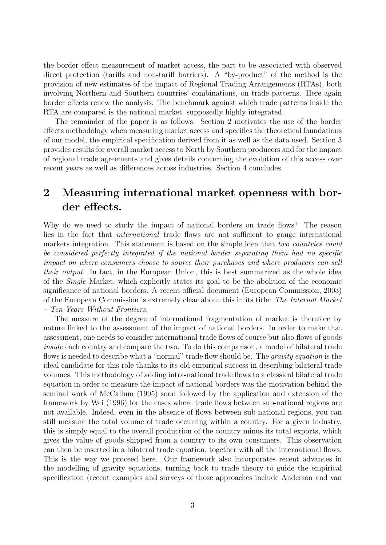the border effect measurement of market access, the part to be associated with observed direct protection (tariffs and non-tariff barriers). A "by-product" of the method is the provision of new estimates of the impact of Regional Trading Arrangements (RTAs), both involving Northern and Southern countries' combinations, on trade patterns. Here again border effects renew the analysis: The benchmark against which trade patterns inside the RTA are compared is the national market, supposedly highly integrated.

The remainder of the paper is as follows. Section 2 motivates the use of the border effects methodology when measuring market access and specifies the theoretical foundations of our model, the empirical specification derived from it as well as the data used. Section 3 provides results for overall market access to North by Southern producers and for the impact of regional trade agreements and gives details concerning the evolution of this access over recent years as well as differences across industries. Section 4 concludes.

# 2 Measuring international market openness with border effects.

Why do we need to study the impact of national borders on trade flows? The reason lies in the fact that international trade flows are not sufficient to gauge international markets integration. This statement is based on the simple idea that two countries could be considered perfectly integrated if the national border separating them had no specific impact on where consumers choose to source their purchases and where producers can sell their output. In fact, in the European Union, this is best summarized as the whole idea of the Single Market, which explicitly states its goal to be the abolition of the economic significance of national borders. A recent official document (European Commission, 2003) of the European Commission is extremely clear about this in its title: The Internal Market – Ten Years Without Frontiers.

The measure of the degree of international fragmentation of market is therefore by nature linked to the assessment of the impact of national borders. In order to make that assessment, one needs to consider international trade flows of course but also flows of goods inside each country and compare the two. To do this comparison, a model of bilateral trade flows is needed to describe what a "normal" trade flow should be. The *gravity equation* is the ideal candidate for this role thanks to its old empirical success in describing bilateral trade volumes. This methodology of adding intra-national trade flows to a classical bilateral trade equation in order to measure the impact of national borders was the motivation behind the seminal work of McCallum (1995) soon followed by the application and extension of the framework by Wei (1996) for the cases where trade flows between sub-national regions are not available. Indeed, even in the absence of flows between sub-national regions, you can still measure the total volume of trade occurring within a country. For a given industry, this is simply equal to the overall production of the country minus its total exports, which gives the value of goods shipped from a country to its own consumers. This observation can then be inserted in a bilateral trade equation, together with all the international flows. This is the way we proceed here. Our framework also incorporates recent advances in the modelling of gravity equations, turning back to trade theory to guide the empirical specification (recent examples and surveys of those approaches include Anderson and van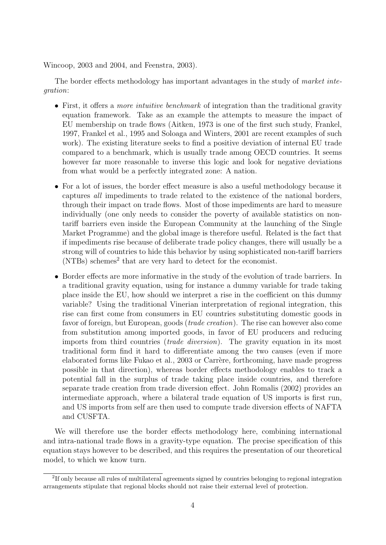Wincoop, 2003 and 2004, and Feenstra, 2003).

The border effects methodology has important advantages in the study of market integration:

- First, it offers a *more intuitive benchmark* of integration than the traditional gravity equation framework. Take as an example the attempts to measure the impact of EU membership on trade flows (Aitken, 1973 is one of the first such study, Frankel, 1997, Frankel et al., 1995 and Soloaga and Winters, 2001 are recent examples of such work). The existing literature seeks to find a positive deviation of internal EU trade compared to a benchmark, which is usually trade among OECD countries. It seems however far more reasonable to inverse this logic and look for negative deviations from what would be a perfectly integrated zone: A nation.
- For a lot of issues, the border effect measure is also a useful methodology because it captures all impediments to trade related to the existence of the national borders, through their impact on trade flows. Most of those impediments are hard to measure individually (one only needs to consider the poverty of available statistics on nontariff barriers even inside the European Community at the launching of the Single Market Programme) and the global image is therefore useful. Related is the fact that if impediments rise because of deliberate trade policy changes, there will usually be a strong will of countries to hide this behavior by using sophisticated non-tariff barriers (NTBs) schemes<sup>2</sup> that are very hard to detect for the economist.
- Border effects are more informative in the study of the evolution of trade barriers. In a traditional gravity equation, using for instance a dummy variable for trade taking place inside the EU, how should we interpret a rise in the coefficient on this dummy variable? Using the traditional Vinerian interpretation of regional integration, this rise can first come from consumers in EU countries substituting domestic goods in favor of foreign, but European, goods (*trade creation*). The rise can however also come from substitution among imported goods, in favor of EU producers and reducing imports from third countries (trade diversion). The gravity equation in its most traditional form find it hard to differentiate among the two causes (even if more elaborated forms like Fukao et al., 2003 or Carrère, forthcoming, have made progress possible in that direction), whereas border effects methodology enables to track a potential fall in the surplus of trade taking place inside countries, and therefore separate trade creation from trade diversion effect. John Romalis (2002) provides an intermediate approach, where a bilateral trade equation of US imports is first run, and US imports from self are then used to compute trade diversion effects of NAFTA and CUSFTA.

We will therefore use the border effects methodology here, combining international and intra-national trade flows in a gravity-type equation. The precise specification of this equation stays however to be described, and this requires the presentation of our theoretical model, to which we know turn.

<sup>&</sup>lt;sup>2</sup>If only because all rules of multilateral agreements signed by countries belonging to regional integration arrangements stipulate that regional blocks should not raise their external level of protection.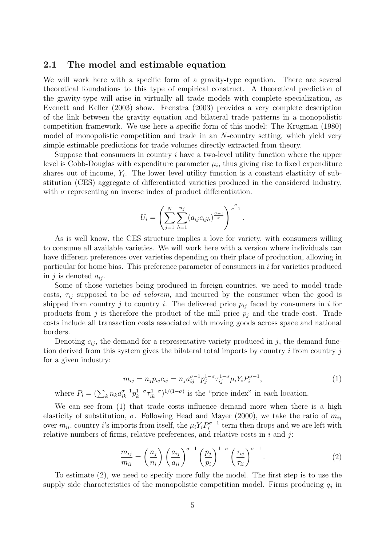#### 2.1 The model and estimable equation

We will work here with a specific form of a gravity-type equation. There are several theoretical foundations to this type of empirical construct. A theoretical prediction of the gravity-type will arise in virtually all trade models with complete specialization, as Evenett and Keller (2003) show. Feenstra (2003) provides a very complete description of the link between the gravity equation and bilateral trade patterns in a monopolistic competition framework. We use here a specific form of this model: The Krugman (1980) model of monopolistic competition and trade in an N-country setting, which yield very simple estimable predictions for trade volumes directly extracted from theory.

Suppose that consumers in country  $i$  have a two-level utility function where the upper level is Cobb-Douglas with expenditure parameter  $\mu_i$ , thus giving rise to fixed expenditure shares out of income,  $Y_i$ . The lower level utility function is a constant elasticity of substitution (CES) aggregate of differentiated varieties produced in the considered industry, with  $\sigma$  representing an inverse index of product differentiation.

$$
U_i = \left(\sum_{j=1}^N \sum_{h=1}^{n_j} (a_{ij}c_{ijh})^{\frac{\sigma-1}{\sigma}}\right)^{\frac{\sigma}{\sigma-1}}.
$$

As is well know, the CES structure implies a love for variety, with consumers willing to consume all available varieties. We will work here with a version where individuals can have different preferences over varieties depending on their place of production, allowing in particular for home bias. This preference parameter of consumers in i for varieties produced in j is denoted  $a_{ij}$ .

Some of those varieties being produced in foreign countries, we need to model trade costs,  $\tau_{ii}$  supposed to be *ad valorem*, and incurred by the consumer when the good is shipped from country j to country i. The delivered price  $p_{ij}$  faced by consumers in i for products from j is therefore the product of the mill price  $p_j$  and the trade cost. Trade costs include all transaction costs associated with moving goods across space and national borders.

Denoting  $c_{ij}$ , the demand for a representative variety produced in j, the demand function derived from this system gives the bilateral total imports by country  $i$  from country  $j$ for a given industry:

$$
m_{ij} = n_j p_{ij} c_{ij} = n_j a_{ij}^{\sigma - 1} p_j^{1 - \sigma} \tau_{ij}^{1 - \sigma} \mu_i Y_i P_i^{\sigma - 1}, \tag{1}
$$

where  $P_i = (\sum_k n_k a_{ik}^{\sigma-1} p_k^{1-\sigma})$  $\int_k^{1-\sigma} \tau_{ik}^{1-\sigma}$  )<sup>1/(1- $\sigma$ ) is the "price index" in each location.</sup>

We can see from (1) that trade costs influence demand more when there is a high elasticity of substitution,  $\sigma$ . Following Head and Mayer (2000), we take the ratio of  $m_{ij}$ over  $m_{ii}$ , country *i*'s imports from itself, the  $\mu_i Y_i P_i^{\sigma-1}$  $e^{j\sigma-1}$  term then drops and we are left with relative numbers of firms, relative preferences, and relative costs in  $i$  and  $j$ :

$$
\frac{m_{ij}}{m_{ii}} = \left(\frac{n_j}{n_i}\right) \left(\frac{a_{ij}}{a_{ii}}\right)^{\sigma-1} \left(\frac{p_j}{p_i}\right)^{1-\sigma} \left(\frac{\tau_{ij}}{\tau_{ii}}\right)^{\sigma-1}.\tag{2}
$$

To estimate (2), we need to specify more fully the model. The first step is to use the supply side characteristics of the monopolistic competition model. Firms producing  $q_j$  in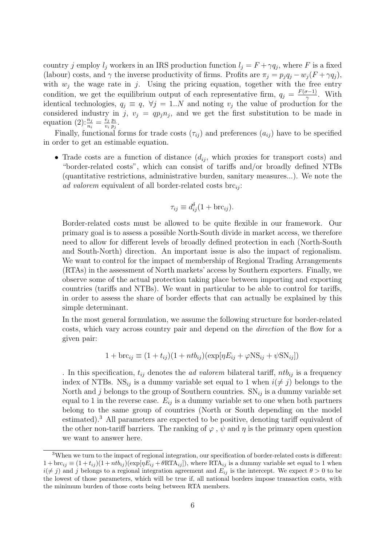country j employ  $l_j$  workers in an IRS production function  $l_j = F + \gamma q_j$ , where F is a fixed (labour) costs, and  $\gamma$  the inverse productivity of firms. Profits are  $\pi_i = p_i q_i - w_i (F + \gamma q_i)$ , with  $w_j$  the wage rate in j. Using the pricing equation, together with the free entry condition, we get the equilibrium output of each representative firm,  $q_j = \frac{F(\sigma-1)}{2}$  $\frac{\tau-1}{\gamma}$ . With identical technologies,  $q_j \equiv q$ ,  $\forall j = 1..N$  and noting  $v_j$  the value of production for the considered industry in j,  $v_j = qp_jn_j$ , and we get the first substitution to be made in equation  $(2)$ :  $\frac{n_j}{n_i} = \frac{v_j}{v_i}$ vi pi  $\frac{p_i}{p_j}.$ 

Finally, functional forms for trade costs  $(\tau_{ii})$  and preferences  $(a_{ii})$  have to be specified in order to get an estimable equation.

• Trade costs are a function of distance  $(d_{ij},$  which proxies for transport costs) and "border-related costs", which can consist of tariffs and/or broadly defined NTBs (quantitative restrictions, administrative burden, sanitary measures...). We note the ad valorem equivalent of all border-related costs brc<sub>ij</sub>:

$$
\tau_{ij} \equiv d_{ij}^{\delta} (1 + \text{brc}_{ij}).
$$

Border-related costs must be allowed to be quite flexible in our framework. Our primary goal is to assess a possible North-South divide in market access, we therefore need to allow for different levels of broadly defined protection in each (North-South and South-North) direction. An important issue is also the impact of regionalism. We want to control for the impact of membership of Regional Trading Arrangements (RTAs) in the assessment of North markets' access by Southern exporters. Finally, we observe some of the actual protection taking place between importing and exporting countries (tariffs and NTBs). We want in particular to be able to control for tariffs, in order to assess the share of border effects that can actually be explained by this simple determinant.

In the most general formulation, we assume the following structure for border-related costs, which vary across country pair and depend on the direction of the flow for a given pair:

$$
1 + \text{brc}_{ij} \equiv (1 + t_{ij})(1 + ntb_{ij})(\exp[\eta E_{ij} + \varphi \text{NS}_{ij} + \psi \text{SN}_{ij}])
$$

. In this specification,  $t_{ij}$  denotes the *ad valorem* bilateral tariff,  $ntb_{ij}$  is a frequency index of NTBs. NS<sub>ij</sub> is a dummy variable set equal to 1 when  $i(\neq j)$  belongs to the North and j belongs to the group of Southern countries.  $SN_{ij}$  is a dummy variable set equal to 1 in the reverse case.  $E_{ij}$  is a dummy variable set to one when both partners belong to the same group of countries (North or South depending on the model estimated).<sup>3</sup> All parameters are expected to be positive, denoting tariff equivalent of the other non-tariff barriers. The ranking of  $\varphi$ ,  $\psi$  and  $\eta$  is the primary open question we want to answer here.

<sup>3</sup>When we turn to the impact of regional integration, our specification of border-related costs is different:  $1 + \text{brc}_{ij} \equiv (1 + t_{ij})(1 + ntb_{ij})(\exp[\eta E_{ij} + \theta RTA_{ij}])$ , where  $RTA_{ij}$  is a dummy variable set equal to 1 when  $i(\neq j)$  and j belongs to a regional integration agreement and  $E_{ij}$  is the intercept. We expect  $\theta > 0$  to be the lowest of those parameters, which will be true if, all national borders impose transaction costs, with the minimum burden of those costs being between RTA members.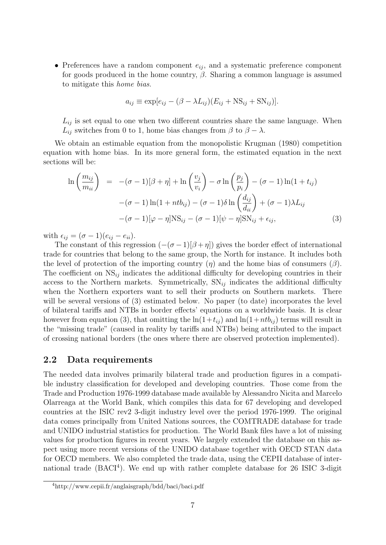• Preferences have a random component  $e_{ij}$ , and a systematic preference component for goods produced in the home country,  $\beta$ . Sharing a common language is assumed to mitigate this home bias.

$$
a_{ij} \equiv \exp[e_{ij} - (\beta - \lambda L_{ij})(E_{ij} + \text{NS}_{ij} + \text{SN}_{ij})].
$$

 $L_{ij}$  is set equal to one when two different countries share the same language. When  $L_{ij}$  switches from 0 to 1, home bias changes from  $\beta$  to  $\beta - \lambda$ .

We obtain an estimable equation from the monopolistic Krugman (1980) competition equation with home bias. In its more general form, the estimated equation in the next sections will be:

$$
\ln\left(\frac{m_{ij}}{m_{ii}}\right) = -(\sigma - 1)[\beta + \eta] + \ln\left(\frac{v_j}{v_i}\right) - \sigma \ln\left(\frac{p_j}{p_i}\right) - (\sigma - 1)\ln(1 + t_{ij})
$$

$$
-(\sigma - 1)\ln(1 + nt_{ij}) - (\sigma - 1)\delta \ln\left(\frac{d_{ij}}{d_{ii}}\right) + (\sigma - 1)\lambda L_{ij}
$$

$$
-(\sigma - 1)[\varphi - \eta]NS_{ij} - (\sigma - 1)[\psi - \eta]SN_{ij} + \epsilon_{ij}, \tag{3}
$$

with  $\epsilon_{ij} = (\sigma - 1)(e_{ij} - e_{ii}).$ 

The constant of this regression  $(-(\sigma-1)[\beta+\eta])$  gives the border effect of international trade for countries that belong to the same group, the North for instance. It includes both the level of protection of the importing country  $(\eta)$  and the home bias of consumers  $(\beta)$ . The coefficient on  $NS_{ij}$  indicates the additional difficulty for developing countries in their access to the Northern markets. Symmetrically,  $SN_{ij}$  indicates the additional difficulty when the Northern exporters want to sell their products on Southern markets. There will be several versions of (3) estimated below. No paper (to date) incorporates the level of bilateral tariffs and NTBs in border effects' equations on a worldwide basis. It is clear however from equation (3), that omitting the  $ln(1+t_{ij})$  and  $ln(1+nt_{ij})$  terms will result in the "missing trade" (caused in reality by tariffs and NTBs) being attributed to the impact of crossing national borders (the ones where there are observed protection implemented).

#### 2.2 Data requirements

The needed data involves primarily bilateral trade and production figures in a compatible industry classification for developed and developing countries. Those come from the Trade and Production 1976-1999 database made available by Alessandro Nicita and Marcelo Olarreaga at the World Bank, which compiles this data for 67 developing and developed countries at the ISIC rev2 3-digit industry level over the period 1976-1999. The original data comes principally from United Nations sources, the COMTRADE database for trade and UNIDO industrial statistics for production. The World Bank files have a lot of missing values for production figures in recent years. We largely extended the database on this aspect using more recent versions of the UNIDO database together with OECD STAN data for OECD members. We also completed the trade data, using the CEPII database of international trade (BACI<sup>4</sup>). We end up with rather complete database for 26 ISIC 3-digit

<sup>4</sup>http://www.cepii.fr/anglaisgraph/bdd/baci/baci.pdf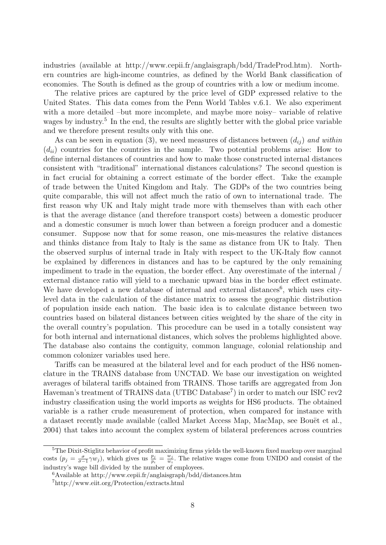industries (available at http://www.cepii.fr/anglaisgraph/bdd/TradeProd.htm). Northern countries are high-income countries, as defined by the World Bank classification of economies. The South is defined as the group of countries with a low or medium income.

The relative prices are captured by the price level of GDP expressed relative to the United States. This data comes from the Penn World Tables v.6.1. We also experiment with a more detailed –but more incomplete, and maybe more noisy– variable of relative wages by industry.<sup>5</sup> In the end, the results are slightly better with the global price variable and we therefore present results only with this one.

As can be seen in equation (3), we need measures of distances between  $(d_{ij})$  and within  $(d_{ii})$  countries for the countries in the sample. Two potential problems arise: How to define internal distances of countries and how to make those constructed internal distances consistent with "traditional" international distances calculations? The second question is in fact crucial for obtaining a correct estimate of the border effect. Take the example of trade between the United Kingdom and Italy. The GDPs of the two countries being quite comparable, this will not affect much the ratio of own to international trade. The first reason why UK and Italy might trade more with themselves than with each other is that the average distance (and therefore transport costs) between a domestic producer and a domestic consumer is much lower than between a foreign producer and a domestic consumer. Suppose now that for some reason, one mis-measures the relative distances and thinks distance from Italy to Italy is the same as distance from UK to Italy. Then the observed surplus of internal trade in Italy with respect to the UK-Italy flow cannot be explained by differences in distances and has to be captured by the only remaining impediment to trade in the equation, the border effect. Any overestimate of the internal / external distance ratio will yield to a mechanic upward bias in the border effect estimate. We have developed a new database of internal and external distances<sup>6</sup>, which uses citylevel data in the calculation of the distance matrix to assess the geographic distribution of population inside each nation. The basic idea is to calculate distance between two countries based on bilateral distances between cities weighted by the share of the city in the overall country's population. This procedure can be used in a totally consistent way for both internal and international distances, which solves the problems highlighted above. The database also contains the contiguity, common language, colonial relationship and common colonizer variables used here.

Tariffs can be measured at the bilateral level and for each product of the HS6 nomenclature in the TRAINS database from UNCTAD. We base our investigation on weighted averages of bilateral tariffs obtained from TRAINS. Those tariffs are aggregated from Jon Haveman's treatment of TRAINS data (UTBC Database<sup>7</sup>) in order to match our ISIC rev2 industry classification using the world imports as weights for HS6 products. The obtained variable is a rather crude measurement of protection, when compared for instance with a dataset recently made available (called Market Access Map, MacMap, see Bouët et al., 2004) that takes into account the complex system of bilateral preferences across countries

<sup>5</sup>The Dixit-Stiglitz behavior of profit maximizing firms yields the well-known fixed markup over marginal costs  $(p_j = \frac{\sigma}{\sigma-1} \gamma w_j)$ , which gives us  $\frac{p_j}{p_i} = \frac{w_j}{w_i}$  $\frac{w_j}{w_i}$ . The relative wages come from UNIDO and consist of the industry's wage bill divided by the number of employees.

<sup>6</sup>Available at http://www.cepii.fr/anglaisgraph/bdd/distances.htm

<sup>7</sup>http://www.eiit.org/Protection/extracts.html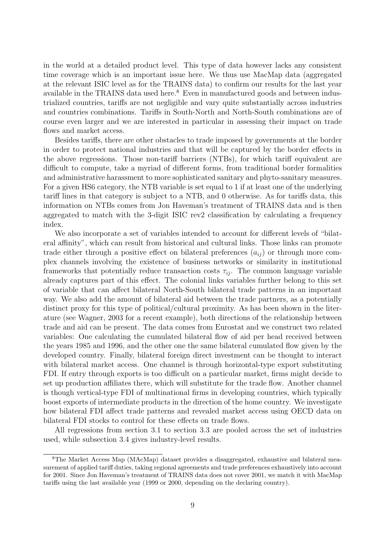in the world at a detailed product level. This type of data however lacks any consistent time coverage which is an important issue here. We thus use MacMap data (aggregated at the relevant ISIC level as for the TRAINS data) to confirm our results for the last year available in the TRAINS data used here. $8$  Even in manufactured goods and between industrialized countries, tariffs are not negligible and vary quite substantially across industries and countries combinations. Tariffs in South-North and North-South combinations are of course even larger and we are interested in particular in assessing their impact on trade flows and market access.

Besides tariffs, there are other obstacles to trade imposed by governments at the border in order to protect national industries and that will be captured by the border effects in the above regressions. Those non-tariff barriers (NTBs), for which tariff equivalent are difficult to compute, take a myriad of different forms, from traditional border formalities and administrative harassment to more sophisticated sanitary and phyto-sanitary measures. For a given HS6 category, the NTB variable is set equal to 1 if at least one of the underlying tariff lines in that category is subject to a NTB, and 0 otherwise. As for tariffs data, this information on NTBs comes from Jon Haveman's treatment of TRAINS data and is then aggregated to match with the 3-digit ISIC rev2 classification by calculating a frequency index.

We also incorporate a set of variables intended to account for different levels of "bilateral affinity", which can result from historical and cultural links. Those links can promote trade either through a positive effect on bilateral preferences  $(a_{ij})$  or through more complex channels involving the existence of business networks or similarity in institutional frameworks that potentially reduce transaction costs  $\tau_{ij}$ . The common language variable already captures part of this effect. The colonial links variables further belong to this set of variable that can affect bilateral North-South bilateral trade patterns in an important way. We also add the amount of bilateral aid between the trade partners, as a potentially distinct proxy for this type of political/cultural proximity. As has been shown in the literature (see Wagner, 2003 for a recent example), both directions of the relationship between trade and aid can be present. The data comes from Eurostat and we construct two related variables: One calculating the cumulated bilateral flow of aid per head received between the years 1985 and 1996, and the other one the same bilateral cumulated flow given by the developed country. Finally, bilateral foreign direct investment can be thought to interact with bilateral market access. One channel is through horizontal-type export substituting FDI. If entry through exports is too difficult on a particular market, firms might decide to set up production affiliates there, which will substitute for the trade flow. Another channel is though vertical-type FDI of multinational firms in developing countries, which typically boost exports of intermediate products in the direction of the home country. We investigate how bilateral FDI affect trade patterns and revealed market access using OECD data on bilateral FDI stocks to control for these effects on trade flows.

All regressions from section 3.1 to section 3.3 are pooled across the set of industries used, while subsection 3.4 gives industry-level results.

<sup>8</sup>The Market Access Map (MAcMap) dataset provides a disaggregated, exhaustive and bilateral measurement of applied tariff duties, taking regional agreements and trade preferences exhaustively into account for 2001. Since Jon Haveman's treatment of TRAINS data does not cover 2001, we match it with MacMap tariffs using the last available year (1999 or 2000, depending on the declaring country).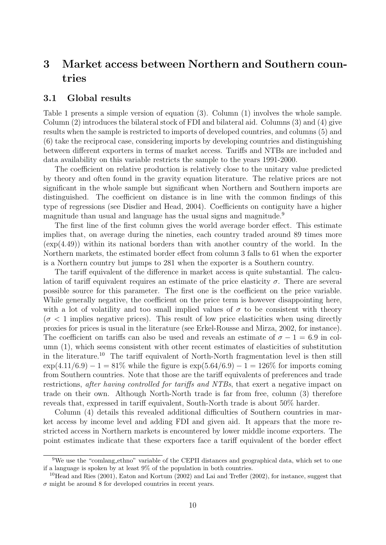# 3 Market access between Northern and Southern countries

#### 3.1 Global results

Table 1 presents a simple version of equation (3). Column (1) involves the whole sample. Column (2) introduces the bilateral stock of FDI and bilateral aid. Columns (3) and (4) give results when the sample is restricted to imports of developed countries, and columns (5) and (6) take the reciprocal case, considering imports by developing countries and distinguishing between different exporters in terms of market access. Tariffs and NTBs are included and data availability on this variable restricts the sample to the years 1991-2000.

The coefficient on relative production is relatively close to the unitary value predicted by theory and often found in the gravity equation literature. The relative prices are not significant in the whole sample but significant when Northern and Southern imports are distinguished. The coefficient on distance is in line with the common findings of this type of regressions (see Disdier and Head, 2004). Coefficients on contiguity have a higher magnitude than usual and language has the usual signs and magnitude.<sup>9</sup>

The first line of the first column gives the world average border effect. This estimate implies that, on average during the nineties, each country traded around 89 times more (exp(4.49)) within its national borders than with another country of the world. In the Northern markets, the estimated border effect from column 3 falls to 61 when the exporter is a Northern country but jumps to 281 when the exporter is a Southern country.

The tariff equivalent of the difference in market access is quite substantial. The calculation of tariff equivalent requires an estimate of the price elasticity  $\sigma$ . There are several possible source for this parameter. The first one is the coefficient on the price variable. While generally negative, the coefficient on the price term is however disappointing here, with a lot of volatility and too small implied values of  $\sigma$  to be consistent with theory  $\sigma$  < 1 implies negative prices). This result of low price elasticities when using directly proxies for prices is usual in the literature (see Erkel-Rousse and Mirza, 2002, for instance). The coefficient on tariffs can also be used and reveals an estimate of  $\sigma - 1 = 6.9$  in column (1), which seems consistent with other recent estimates of elasticities of substitution in the literature.<sup>10</sup> The tariff equivalent of North-North fragmentation level is then still  $\exp(4.11/6.9) - 1 = 81\%$  while the figure is  $\exp(5.64/6.9) - 1 = 126\%$  for imports coming from Southern countries. Note that those are the tariff equivalents of preferences and trade restrictions, after having controlled for tariffs and NTBs, that exert a negative impact on trade on their own. Although North-North trade is far from free, column (3) therefore reveals that, expressed in tariff equivalent, South-North trade is about 50% harder.

Column (4) details this revealed additional difficulties of Southern countries in market access by income level and adding FDI and given aid. It appears that the more restricted access in Northern markets is encountered by lower middle income exporters. The point estimates indicate that these exporters face a tariff equivalent of the border effect

<sup>&</sup>lt;sup>9</sup>We use the "comlang ethno" variable of the CEPII distances and geographical data, which set to one if a language is spoken by at least 9% of the population in both countries.

<sup>&</sup>lt;sup>10</sup>Head and Ries (2001), Eaton and Kortum (2002) and Lai and Trefler (2002), for instance, suggest that  $\sigma$  might be around 8 for developed countries in recent years.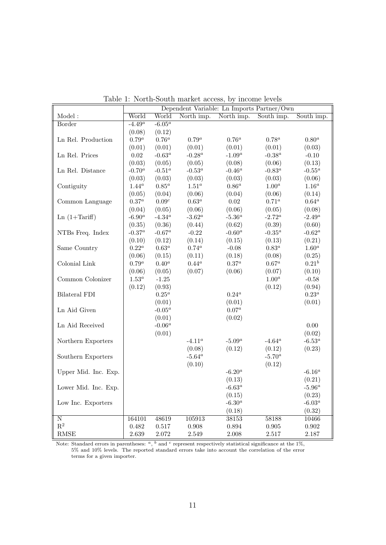|                       | Dependent Variable: Ln Imports Partner/Own |                   |                     |            |                     |                      |  |  |  |
|-----------------------|--------------------------------------------|-------------------|---------------------|------------|---------------------|----------------------|--|--|--|
| Model:                | World                                      | World             | North imp.          | North imp. | South imp.          | South imp.           |  |  |  |
| <b>Border</b>         | $-4.49^a$                                  | $-6.05^a$         |                     |            |                     |                      |  |  |  |
|                       | (0.08)                                     | (0.12)            |                     |            |                     |                      |  |  |  |
| Ln Rel. Production    | $0.79^a$                                   | $0.76^a$          | $0.79^a$            | $0.76^a$   | $0.78^a$            | $0.80^a$             |  |  |  |
|                       | (0.01)                                     | (0.01)            | (0.01)              | (0.01)     | (0.01)              | (0.03)               |  |  |  |
| Ln Rel. Prices        | $\rm 0.02$                                 | -0.63 $^a$        | $-0.28^a$           | $-1.09^a$  | $-0.38^a$           | $-0.10$              |  |  |  |
|                       | (0.03)                                     | (0.05)            | (0.05)              | (0.08)     | (0.06)              | (0.13)               |  |  |  |
| Ln Rel. Distance      | $-0.70^{a}$                                | $-0.51^a$         | $-0.53^a$           | $-0.46^a$  | $-0.83^a$           | -0.55 $^a$           |  |  |  |
|                       | (0.03)                                     | (0.03)            | (0.03)              | (0.03)     | (0.03)              | (0.06)               |  |  |  |
| Contiguity            | $1.44^a$                                   | $0.85^a$          | $1.51^a$            | $0.86^a$   | $1.00^a$            | $1.16^a$             |  |  |  |
|                       | (0.05)                                     | (0.04)            | (0.06)              | (0.04)     | (0.06)              | (0.14)               |  |  |  |
| Common Language       | $0.37^a\,$                                 | $0.09^c$          | $0.63^a$            | $\rm 0.02$ | $0.71^a$            | $0.64^a$             |  |  |  |
|                       | (0.04)                                     | (0.05)            | (0.06)              | (0.06)     | (0.05)              | (0.08)               |  |  |  |
| Ln $(1+Tariff)$       | $-6.90^a$                                  | $-4.34^a$         | $-3.62^a$           | $-5.36^a$  | $-2.72^a$           | $-2.49^a$            |  |  |  |
|                       | (0.35)                                     | (0.36)            | (0.44)              | (0.62)     | (0.39)              | (0.60)               |  |  |  |
| NTBs Freq. Index      | $\text{-}0.37^a$                           | $-0.67^{\dot{a}}$ | $-0.22$             | $-0.60^a$  | $-0.35^a$           | -0.62 $^a$           |  |  |  |
|                       | (0.10)                                     | (0.12)            | (0.14)              | (0.15)     | (0.13)              | (0.21)               |  |  |  |
| Same Country          | $0.22^a$                                   | $0.63^a$          | $0.74^{\circ}$      | $-0.08$    | $0.83^a$            | $1.60^a$             |  |  |  |
|                       | (0.06)                                     | (0.15)            | (0.11)              | (0.18)     | (0.08)              | (0.25)               |  |  |  |
| Colonial Link         | $0.79^a$                                   | $0.40^a$          | $0.44^a$            | $0.37^a$   | $0.67^a$            | $0.21^{b}$           |  |  |  |
|                       | (0.06)                                     | (0.05)            | (0.07)              | (0.06)     | (0.07)              | (0.10)               |  |  |  |
| Common Colonizer      | $1.53^a$                                   | $-1.25$           |                     |            | $1.00^a$            | $-0.58$              |  |  |  |
|                       | (0.12)                                     | (0.93)            |                     |            | (0.12)              | (0.94)               |  |  |  |
| Bilateral FDI         |                                            | $0.25^a$          |                     | $0.24^a$   |                     | $0.23^a$             |  |  |  |
|                       |                                            | (0.01)            |                     | (0.01)     |                     | (0.01)               |  |  |  |
| Ln Aid Given          |                                            | $-0.05^a$         |                     | $0.07^a$   |                     |                      |  |  |  |
|                       |                                            | (0.01)            |                     | (0.02)     |                     |                      |  |  |  |
| Ln Aid Received       |                                            | $-0.06^a$         |                     |            |                     | $0.00\,$             |  |  |  |
|                       |                                            | (0.01)            |                     | $-5.09^a$  |                     | (0.02)<br>-6.53 $^a$ |  |  |  |
| Northern Exporters    |                                            |                   | $-4.11^a$<br>(0.08) | (0.12)     | $-4.64^a$<br>(0.12) | (0.23)               |  |  |  |
| Southern Exporters    |                                            |                   | $-5.64^a$           |            | $-5.70^a$           |                      |  |  |  |
|                       |                                            |                   | (0.10)              |            | (0.12)              |                      |  |  |  |
| Upper Mid. Inc. Exp.  |                                            |                   |                     | $-6.20^a$  |                     | -6.16 $^a$           |  |  |  |
|                       |                                            |                   |                     | (0.13)     |                     | (0.21)               |  |  |  |
| Lower Mid. Inc. Exp.  |                                            |                   |                     | $-6.63^a$  |                     | $-5.96^a$            |  |  |  |
|                       |                                            |                   |                     | (0.15)     |                     | (0.23)               |  |  |  |
| Low Inc. Exporters    |                                            |                   |                     | $-6.30^a$  |                     | $-6.03^a$            |  |  |  |
|                       |                                            |                   |                     | (0.18)     |                     | (0.32)               |  |  |  |
| $\overline{\text{N}}$ | 164101                                     | 48619             | 105913              | 38153      | 58188               | 10466                |  |  |  |
| $\mathbf{R}^2$        | 0.482                                      | 0.517             | 0.908               | 0.894      | 0.905               | $\,0.902\,$          |  |  |  |
| $\operatorname{RMSE}$ | 2.639                                      | 2.072             | 2.549               | 2.008      | 2.517               | 2.187                |  |  |  |

Table 1: North-South market access, by income levels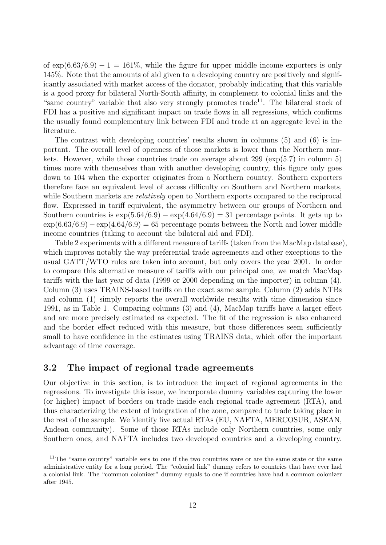of  $\exp(6.63/6.9) - 1 = 161\%$ , while the figure for upper middle income exporters is only 145%. Note that the amounts of aid given to a developing country are positively and significantly associated with market access of the donator, probably indicating that this variable is a good proxy for bilateral North-South affinity, in complement to colonial links and the "same country" variable that also very strongly promotes trade<sup>11</sup>. The bilateral stock of FDI has a positive and significant impact on trade flows in all regressions, which confirms the usually found complementary link between FDI and trade at an aggregate level in the literature.

The contrast with developing countries' results shown in columns (5) and (6) is important. The overall level of openness of those markets is lower than the Northern markets. However, while those countries trade on average about  $299 \text{ (exp}(5.7) \text{ in column 5)}$ times more with themselves than with another developing country, this figure only goes down to 104 when the exporter originates from a Northern country. Southern exporters therefore face an equivalent level of access difficulty on Southern and Northern markets, while Southern markets are *relatively* open to Northern exports compared to the reciprocal flow. Expressed in tariff equivalent, the asymmetry between our groups of Northern and Southern countries is  $\exp(5.64/6.9) - \exp(4.64/6.9) = 31$  percentage points. It gets up to  $\exp(6.63/6.9) - \exp(4.64/6.9) = 65$  percentage points between the North and lower middle income countries (taking to account the bilateral aid and FDI).

Table 2 experiments with a different measure of tariffs (taken from the MacMap database), which improves notably the way preferential trade agreements and other exceptions to the usual GATT/WTO rules are taken into account, but only covers the year 2001. In order to compare this alternative measure of tariffs with our principal one, we match MacMap tariffs with the last year of data (1999 or 2000 depending on the importer) in column (4). Column (3) uses TRAINS-based tariffs on the exact same sample. Column (2) adds NTBs and column (1) simply reports the overall worldwide results with time dimension since 1991, as in Table 1. Comparing columns (3) and (4), MacMap tariffs have a larger effect and are more precisely estimated as expected. The fit of the regression is also enhanced and the border effect reduced with this measure, but those differences seem sufficiently small to have confidence in the estimates using TRAINS data, which offer the important advantage of time coverage.

#### 3.2 The impact of regional trade agreements

Our objective in this section, is to introduce the impact of regional agreements in the regressions. To investigate this issue, we incorporate dummy variables capturing the lower (or higher) impact of borders on trade inside each regional trade agreement (RTA), and thus characterizing the extent of integration of the zone, compared to trade taking place in the rest of the sample. We identify five actual RTAs (EU, NAFTA, MERCOSUR, ASEAN, Andean community). Some of those RTAs include only Northern countries, some only Southern ones, and NAFTA includes two developed countries and a developing country.

 $11$ The "same country" variable sets to one if the two countries were or are the same state or the same administrative entity for a long period. The "colonial link" dummy refers to countries that have ever had a colonial link. The "common colonizer" dummy equals to one if countries have had a common colonizer after 1945.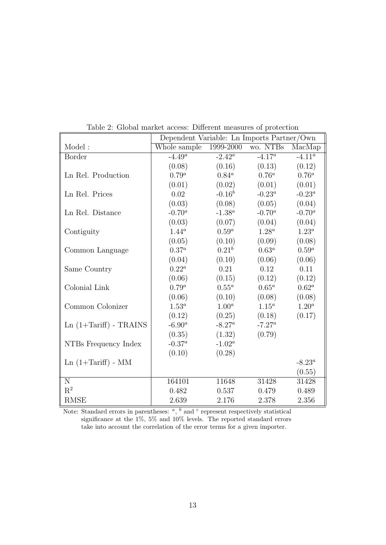|                                          | Dependent Variable: Ln Imports Partner/Own |            |           |             |  |  |  |  |
|------------------------------------------|--------------------------------------------|------------|-----------|-------------|--|--|--|--|
| Model:                                   | Whole sample                               | 1999-2000  | wo. NTBs  | MacMap      |  |  |  |  |
| Border                                   | $-4.49^a$                                  | $-2.42^a$  | $-4.17^a$ | $-4.11^a$   |  |  |  |  |
|                                          | (0.08)                                     | (0.16)     | (0.13)    | (0.12)      |  |  |  |  |
| Ln Rel. Production                       | $0.79^a$                                   | $0.84^a$   | $0.76^a$  | $0.76^a$    |  |  |  |  |
|                                          | (0.01)                                     | (0.02)     | (0.01)    | (0.01)      |  |  |  |  |
| Ln Rel. Prices                           | 0.02                                       | $-0.16^b$  | $-0.23^a$ | -0.23 $^a$  |  |  |  |  |
|                                          | (0.03)                                     | (0.08)     | (0.05)    | (0.04)      |  |  |  |  |
| Ln Rel. Distance                         | $-0.70^a$                                  | $-1.38^a$  | $-0.70^a$ | $-0.70^{a}$ |  |  |  |  |
|                                          | (0.03)                                     | (0.07)     | (0.04)    | (0.04)      |  |  |  |  |
| Contiguity                               | $1.44^a$                                   | $0.59^a$   | $1.28^a$  | $1.23^a$    |  |  |  |  |
|                                          | (0.05)                                     | (0.10)     | (0.09)    | (0.08)      |  |  |  |  |
| Common Language                          | $0.37^a$                                   | $0.21^{b}$ | $0.63^a$  | $0.59^a$    |  |  |  |  |
|                                          | (0.04)                                     | (0.10)     | (0.06)    | (0.06)      |  |  |  |  |
| Same Country                             | $0.22^a$                                   | 0.21       | 0.12      | 0.11        |  |  |  |  |
|                                          | (0.06)                                     | (0.15)     | (0.12)    | (0.12)      |  |  |  |  |
| Colonial Link                            | $0.79^a$                                   | $0.55^a$   | $0.65^a$  | $0.62^a$    |  |  |  |  |
|                                          | (0.06)                                     | (0.10)     | (0.08)    | (0.08)      |  |  |  |  |
| Common Colonizer                         | $1.53^a$                                   | $1.00^a$   | $1.15^a$  | $1.20^a$    |  |  |  |  |
|                                          | (0.12)                                     | (0.25)     | (0.18)    | (0.17)      |  |  |  |  |
| $Ln(1+Tariff) - TRAINS$                  | $-6.90^a$                                  | $-8.27^a$  | $-7.27^a$ |             |  |  |  |  |
|                                          | (0.35)                                     | (1.32)     | (0.79)    |             |  |  |  |  |
| NTBs Frequency Index                     | $-0.37^a$                                  | $-1.02^a$  |           |             |  |  |  |  |
|                                          | (0.10)                                     | (0.28)     |           |             |  |  |  |  |
| $\text{Ln}(1+\text{Tariff}) - \text{MM}$ |                                            |            |           | $-8.23^a$   |  |  |  |  |
|                                          |                                            |            |           | (0.55)      |  |  |  |  |
| N                                        | 164101                                     | 11648      | 31428     | 31428       |  |  |  |  |
| $\mathbf{R}^2$                           | 0.482                                      | 0.537      | 0.479     | 0.489       |  |  |  |  |
| <b>RMSE</b>                              | 2.639                                      | 2.176      | 2.378     | 2.356       |  |  |  |  |

Table 2: Global market access: Different measures of protection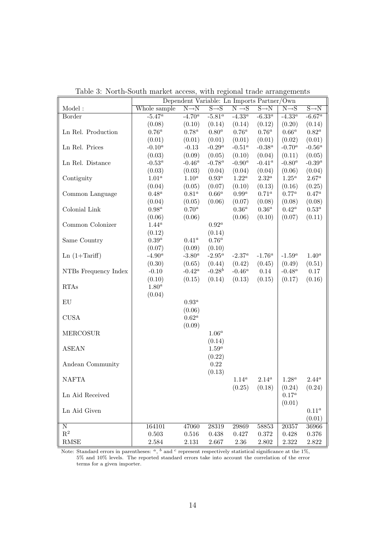|                      |              |                   | Dependent Variable: Ln Imports Partner/Own |                              |                   |                              |                   |
|----------------------|--------------|-------------------|--------------------------------------------|------------------------------|-------------------|------------------------------|-------------------|
| Model:               | Whole sample | $N \rightarrow N$ | $S \rightarrow S$                          | $\overline{N \rightarrow S}$ | $S \rightarrow N$ | $\overline{N \rightarrow S}$ | $S \rightarrow N$ |
| <b>Border</b>        | $-5.47^a$    | $-4.70^a$         | $-5.81^a$                                  | $-4.33^a$                    | $-6.33^a$         | $-4.33^a$                    | $-6.67^a$         |
|                      | (0.08)       | (0.10)            | (0.14)                                     | (0.14)                       | (0.12)            | (0.20)                       | (0.14)            |
| Ln Rel. Production   | $0.76^a$     | $0.78^a$          | $0.80^a$                                   | $0.76^a$                     | $0.76^a$          | $0.66^a$                     | $0.82^a$          |
|                      | (0.01)       | (0.01)            | (0.01)                                     | (0.01)                       | (0.01)            | (0.02)                       | (0.01)            |
| Ln Rel. Prices       | $-0.10^a$    | $-0.13$           | $-0.29^a$                                  | $\text{-}0.51^a$             | $-0.38^a$         | $-0.70^a$                    | $-0.56^a$         |
|                      | (0.03)       | (0.09)            | (0.05)                                     | (0.10)                       | (0.04)            | (0.11)                       | (0.05)            |
| Ln Rel. Distance     | $-0.53^a$    | $-0.46^a$         | $-0.78^a$                                  | $\text{-}0.90^a$             | -0.41 $^a$        | $\text{-}0.80^a$             | -0.39 $^a$        |
|                      | (0.03)       | (0.03)            | (0.04)                                     | (0.04)                       | (0.04)            | (0.06)                       | (0.04)            |
| Contiguity           | $1.01^a$     | $1.10^a$          | $0.93^a$                                   | $1.22^a$                     | $2.32^a$          | $1.25^a$                     | $2.67^a$          |
|                      | (0.04)       | (0.05)            | (0.07)                                     | (0.10)                       | (0.13)            | (0.16)                       | (0.25)            |
| Common Language      | $0.48^a$     | $0.81^a$          | $0.66^a$                                   | $0.99^a$                     | $0.71^a$          | $0.77^a$                     | $0.47^a$          |
|                      | (0.04)       | (0.05)            | (0.06)                                     | (0.07)                       | (0.08)            | (0.08)                       | (0.08)            |
| Colonial Link        | $0.98^a$     | $0.70^a$          |                                            | $0.36^a$                     | $0.36^a$          | $0.42^a$                     | $0.53^a$          |
|                      | (0.06)       | (0.06)            |                                            | (0.06)                       | (0.10)            | (0.07)                       | (0.11)            |
| Common Colonizer     | $1.44^a$     |                   | $0.92^a$                                   |                              |                   |                              |                   |
|                      | (0.12)       |                   | (0.14)                                     |                              |                   |                              |                   |
| Same Country         | $0.39^a$     | $0.41^a$          | $0.76^a$                                   |                              |                   |                              |                   |
|                      | (0.07)       | (0.09)            | (0.10)                                     |                              |                   |                              |                   |
| $Ln(1+Tariff)$       | $-4.90^a$    | $-3.80^a$         | $-2.95^a$                                  | $-2.37^a$                    | $-1.76^a$         | $-1.59^a$                    | $1.40^a$          |
|                      | (0.30)       | (0.65)            | (0.44)                                     | (0.42)                       | (0.45)            | (0.49)                       | (0.51)            |
| NTBs Frequency Index | $-0.10$      | $-0.42^a$         | $-0.28^b$                                  | $-0.46^a$                    | 0.14              | $-0.48^a$                    | 0.17              |
|                      | (0.10)       | (0.15)            | (0.14)                                     | (0.13)                       | (0.15)            | (0.17)                       | (0.16)            |
| <b>RTAs</b>          | $1.80^a$     |                   |                                            |                              |                   |                              |                   |
|                      | (0.04)       |                   |                                            |                              |                   |                              |                   |
| ${\rm EU}$           |              | $0.93^a$          |                                            |                              |                   |                              |                   |
|                      |              | (0.06)            |                                            |                              |                   |                              |                   |
| <b>CUSA</b>          |              | $0.62^a$          |                                            |                              |                   |                              |                   |
|                      |              | (0.09)            |                                            |                              |                   |                              |                   |
| <b>MERCOSUR</b>      |              |                   | $1.06^a$                                   |                              |                   |                              |                   |
|                      |              |                   | (0.14)                                     |                              |                   |                              |                   |
| <b>ASEAN</b>         |              |                   | $1.59^a$                                   |                              |                   |                              |                   |
|                      |              |                   | (0.22)                                     |                              |                   |                              |                   |
| Andean Community     |              |                   | 0.22                                       |                              |                   |                              |                   |
|                      |              |                   | (0.13)                                     |                              |                   |                              |                   |
| <b>NAFTA</b>         |              |                   |                                            | $1.14^a$                     | $2.14^a$          | $1.28^a$                     | $2.44^a$          |
|                      |              |                   |                                            | (0.25)                       | (0.18)            | (0.24)                       | (0.24)            |
| Ln Aid Received      |              |                   |                                            |                              |                   | $0.17^a$                     |                   |
|                      |              |                   |                                            |                              |                   | (0.01)                       |                   |
| Ln Aid Given         |              |                   |                                            |                              |                   |                              | $0.11^a$          |
|                      |              |                   |                                            |                              |                   |                              | (0.01)            |
| $\mathbf N$          | 164101       | 47060             | 28319                                      | 29869                        | 58853             | 20357                        | 36966             |
| $\mathbf{R}^2$       | $\,0.503\,$  | 0.516             | 0.438                                      | 0.427                        | 0.372             | 0.428                        | 0.376             |
| <b>RMSE</b>          | 2.584        | 2.131             | 2.667                                      | $2.36\,$                     | 2.802             | 2.322                        | $2.822\,$         |

Table 3: North-South market access, with regional trade arrangements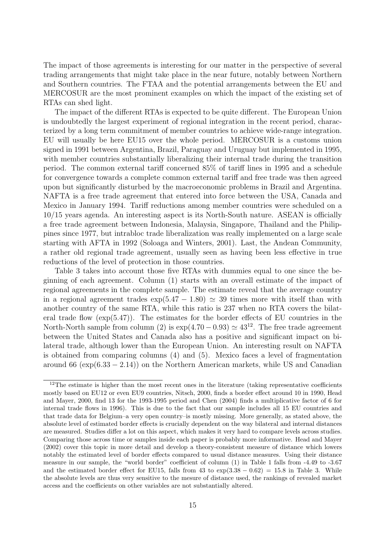The impact of those agreements is interesting for our matter in the perspective of several trading arrangements that might take place in the near future, notably between Northern and Southern countries. The FTAA and the potential arrangements between the EU and MERCOSUR are the most prominent examples on which the impact of the existing set of RTAs can shed light.

The impact of the different RTAs is expected to be quite different. The European Union is undoubtedly the largest experiment of regional integration in the recent period, characterized by a long term commitment of member countries to achieve wide-range integration. EU will usually be here EU15 over the whole period. MERCOSUR is a customs union signed in 1991 between Argentina, Brazil, Paraguay and Uruguay but implemented in 1995, with member countries substantially liberalizing their internal trade during the transition period. The common external tariff concerned 85% of tariff lines in 1995 and a schedule for convergence towards a complete common external tariff and free trade was then agreed upon but significantly disturbed by the macroeconomic problems in Brazil and Argentina. NAFTA is a free trade agreement that entered into force between the USA, Canada and Mexico in January 1994. Tariff reductions among member countries were scheduled on a 10/15 years agenda. An interesting aspect is its North-South nature. ASEAN is officially a free trade agreement between Indonesia, Malaysia, Singapore, Thailand and the Philippines since 1977, but intrabloc trade liberalization was really implemented on a large scale starting with AFTA in 1992 (Soloaga and Winters, 2001). Last, the Andean Community, a rather old regional trade agreement, usually seen as having been less effective in true reductions of the level of protection in those countries.

Table 3 takes into account those five RTAs with dummies equal to one since the beginning of each agreement. Column (1) starts with an overall estimate of the impact of regional agreements in the complete sample. The estimate reveal that the average country in a regional agreement trades  $\exp(5.47 - 1.80) \approx 39$  times more with itself than with another country of the same RTA, while this ratio is 237 when no RTA covers the bilateral trade flow  $(exp(5.47))$ . The estimates for the border effects of EU countries in the North-North sample from column (2) is  $\exp(4.70 - 0.93) \simeq 43^{12}$ . The free trade agreement between the United States and Canada also has a positive and significant impact on bilateral trade, although lower than the European Union. An interesting result on NAFTA is obtained from comparing columns (4) and (5). Mexico faces a level of fragmentation around 66 ( $\exp(6.33 - 2.14)$ ) on the Northern American markets, while US and Canadian

<sup>&</sup>lt;sup>12</sup>The estimate is higher than the most recent ones in the literature (taking representative coefficients mostly based on EU12 or even EU9 countries, Nitsch, 2000, finds a border effect around 10 in 1990, Head and Mayer, 2000, find 13 for the 1993-1995 period and Chen (2004) finds a multiplicative factor of 6 for internal trade flows in 1996). This is due to the fact that our sample includes all 15 EU countries and that trade data for Belgium–a very open country–is mostly missing. More generally, as stated above, the absolute level of estimated border effects is crucially dependent on the way bilateral and internal distances are measured. Studies differ a lot on this aspect, which makes it very hard to compare levels across studies. Comparing those across time or samples inside each paper is probably more informative. Head and Mayer (2002) cover this topic in more detail and develop a theory-consistent measure of distance which lowers notably the estimated level of border effects compared to usual distance measures. Using their distance measure in our sample, the "world border" coefficient of column (1) in Table 1 falls from -4.49 to -3.67 and the estimated border effect for EU15, falls from 43 to  $\exp(3.38 - 0.62) = 15.8$  in Table 3. While the absolute levels are thus very sensitive to the mesure of distance used, the rankings of revealed market access and the coefficients on other variables are not substantially altered.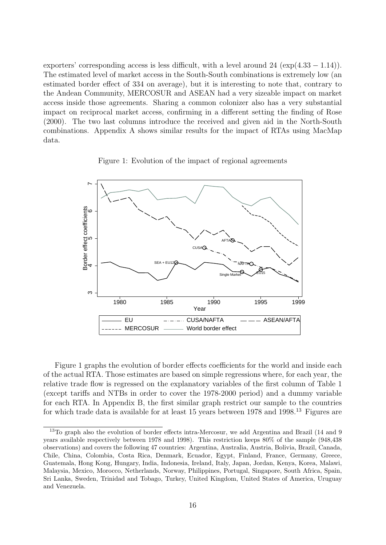exporters' corresponding access is less difficult, with a level around 24 ( $\exp(4.33 - 1.14)$ ). The estimated level of market access in the South-South combinations is extremely low (an estimated border effect of 334 on average), but it is interesting to note that, contrary to the Andean Community, MERCOSUR and ASEAN had a very sizeable impact on market access inside those agreements. Sharing a common colonizer also has a very substantial impact on reciprocal market access, confirming in a different setting the finding of Rose (2000). The two last columns introduce the received and given aid in the North-South combinations. Appendix A shows similar results for the impact of RTAs using MacMap data.





Figure 1 graphs the evolution of border effects coefficients for the world and inside each of the actual RTA. Those estimates are based on simple regressions where, for each year, the relative trade flow is regressed on the explanatory variables of the first column of Table 1 (except tariffs and NTBs in order to cover the 1978-2000 period) and a dummy variable for each RTA. In Appendix B, the first similar graph restrict our sample to the countries for which trade data is available for at least  $15$  years between  $1978$  and  $1998$ .<sup>13</sup> Figures are

<sup>&</sup>lt;sup>13</sup>To graph also the evolution of border effects intra-Mercosur, we add Argentina and Brazil (14 and 9 years available respectively between 1978 and 1998). This restriction keeps 80% of the sample (948,438 observations) and covers the following 47 countries: Argentina, Australia, Austria, Bolivia, Brazil, Canada, Chile, China, Colombia, Costa Rica, Denmark, Ecuador, Egypt, Finland, France, Germany, Greece, Guatemala, Hong Kong, Hungary, India, Indonesia, Ireland, Italy, Japan, Jordan, Kenya, Korea, Malawi, Malaysia, Mexico, Morocco, Netherlands, Norway, Philippines, Portugal, Singapore, South Africa, Spain, Sri Lanka, Sweden, Trinidad and Tobago, Turkey, United Kingdom, United States of America, Uruguay and Venezuela.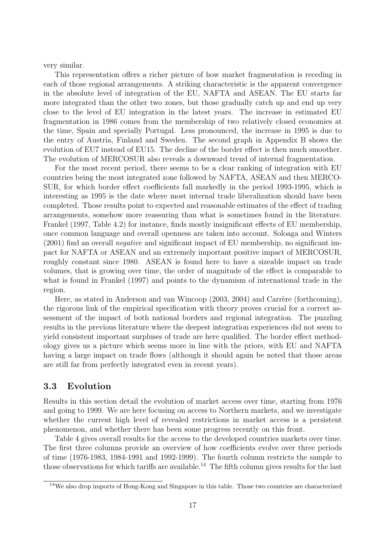very similar.

This representation offers a richer picture of how market fragmentation is receding in each of those regional arrangements. A striking characteristic is the apparent convergence in the absolute level of integration of the EU, NAFTA and ASEAN. The EU starts far more integrated than the other two zones, but those gradually catch up and end up very close to the level of EU integration in the latest years. The increase in estimated EU fragmentation in 1986 comes from the membership of two relatively closed economies at the time, Spain and specially Portugal. Less pronounced, the increase in 1995 is due to the entry of Austria, Finland and Sweden. The second graph in Appendix B shows the evolution of EU7 instead of EU15. The decline of the border effect is then much smoother. The evolution of MERCOSUR also reveals a downward trend of internal fragmentation.

For the most recent period, there seems to be a clear ranking of integration with EU countries being the most integrated zone followed by NAFTA, ASEAN and then MERCO-SUR, for which border effect coefficients fall markedly in the period 1993-1995, which is interesting as 1995 is the date where most internal trade liberalization should have been completed. Those results point to expected and reasonable estimates of the effect of trading arrangements, somehow more reassuring than what is sometimes found in the literature. Frankel (1997, Table 4.2) for instance, finds mostly insignificant effects of EU membership, once common language and overall openness are taken into account. Soloaga and Winters (2001) find an overall negative and significant impact of EU membership, no significant impact for NAFTA or ASEAN and an extremely important positive impact of MERCOSUR, roughly constant since 1980. ASEAN is found here to have a sizeable impact on trade volumes, that is growing over time, the order of magnitude of the effect is comparable to what is found in Frankel (1997) and points to the dynamism of international trade in the region.

Here, as stated in Anderson and van Wincoop  $(2003, 2004)$  and Carrère (forthcoming), the rigorous link of the empirical specification with theory proves crucial for a correct assessment of the impact of both national borders and regional integration. The puzzling results in the previous literature where the deepest integration experiences did not seem to yield consistent important surpluses of trade are here qualified. The border effect methodology gives us a picture which seems more in line with the priors, with EU and NAFTA having a large impact on trade flows (although it should again be noted that those areas are still far from perfectly integrated even in recent years).

#### 3.3 Evolution

Results in this section detail the evolution of market access over time, starting from 1976 and going to 1999. We are here focusing on access to Northern markets, and we investigate whether the current high level of revealed restrictions in market access is a persistent phenomenon, and whether there has been some progress recently on this front.

Table 4 gives overall results for the access to the developed countries markets over time. The first three columns provide an overview of how coefficients evolve over three periods of time (1976-1983, 1984-1991 and 1992-1999). The fourth column restricts the sample to those observations for which tariffs are available.<sup>14</sup> The fifth column gives results for the last

<sup>14</sup>We also drop imports of Hong-Kong and Singapore in this table. Those two countries are characterized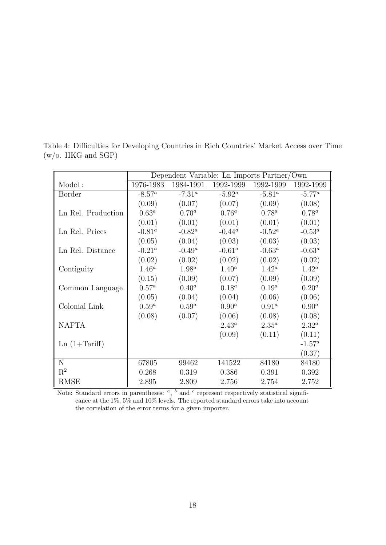|                              | Dependent Variable: Ln Imports Partner/Own |           |           |                |           |  |  |  |  |  |
|------------------------------|--------------------------------------------|-----------|-----------|----------------|-----------|--|--|--|--|--|
| Model:                       | 1976-1983                                  | 1984-1991 | 1992-1999 | 1992-1999      | 1992-1999 |  |  |  |  |  |
| Border                       | $-8.57^a$                                  | $-7.31^a$ | $-5.92^a$ | $-5.81^a$      | $-5.77^a$ |  |  |  |  |  |
|                              | (0.09)                                     | (0.07)    | (0.07)    | (0.09)         | (0.08)    |  |  |  |  |  |
| Ln Rel. Production           | $0.63^a$                                   | $0.70^a$  | $0.76^a$  | $0.78^{\circ}$ | $0.78^a$  |  |  |  |  |  |
|                              | (0.01)                                     | (0.01)    | (0.01)    | (0.01)         | (0.01)    |  |  |  |  |  |
| Ln Rel. Prices               | $-0.81^a$                                  | $-0.82^a$ | $-0.44^a$ | $-0.52^a$      | $-0.53^a$ |  |  |  |  |  |
|                              | (0.05)                                     | (0.04)    | (0.03)    | (0.03)         | (0.03)    |  |  |  |  |  |
| Ln Rel. Distance             | $-0.21^a$                                  | $-0.49^a$ | $-0.61^a$ | $-0.63^a$      | $-0.63^a$ |  |  |  |  |  |
|                              | (0.02)                                     | (0.02)    | (0.02)    | (0.02)         | (0.02)    |  |  |  |  |  |
| Contiguity                   | $1.46^a$                                   | $1.98^a$  | $1.40^a$  | $1.42^a$       | $1.42^a$  |  |  |  |  |  |
|                              | (0.15)                                     | (0.09)    | (0.07)    | (0.09)         | (0.09)    |  |  |  |  |  |
| Common Language              | $0.57^a$                                   | $0.40^a$  | $0.18^a$  | $0.19^a$       | $0.20^a$  |  |  |  |  |  |
|                              | (0.05)                                     | (0.04)    | (0.04)    | (0.06)         | (0.06)    |  |  |  |  |  |
| Colonial Link                | $0.59^a$                                   | $0.59^a$  | $0.90^a$  | $0.91^a$       | $0.90^a$  |  |  |  |  |  |
|                              | (0.08)                                     | (0.07)    | (0.06)    | (0.08)         | (0.08)    |  |  |  |  |  |
| <b>NAFTA</b>                 |                                            |           | $2.43^a$  | $2.35^a$       | $2.32^a$  |  |  |  |  |  |
|                              |                                            |           | (0.09)    | (0.11)         | (0.11)    |  |  |  |  |  |
| $\text{Ln}(1+\text{Tariff})$ |                                            |           |           |                | $-1.57^a$ |  |  |  |  |  |
|                              |                                            |           |           |                | (0.37)    |  |  |  |  |  |
| N                            | 67805                                      | 99462     | 141522    | 84180          | 84180     |  |  |  |  |  |
| $\mathbf{R}^2$               | 0.268                                      | 0.319     | 0.386     | 0.391          | 0.392     |  |  |  |  |  |
| <b>RMSE</b>                  | 2.895                                      | 2.809     | 2.756     | 2.754          | 2.752     |  |  |  |  |  |

Table 4: Difficulties for Developing Countries in Rich Countries' Market Access over Time (w/o. HKG and SGP)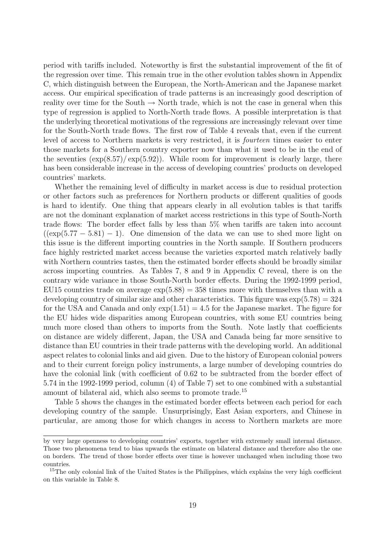period with tariffs included. Noteworthy is first the substantial improvement of the fit of the regression over time. This remain true in the other evolution tables shown in Appendix C, which distinguish between the European, the North-American and the Japanese market access. Our empirical specification of trade patterns is an increasingly good description of reality over time for the South  $\rightarrow$  North trade, which is not the case in general when this type of regression is applied to North-North trade flows. A possible interpretation is that the underlying theoretical motivations of the regressions are increasingly relevant over time for the South-North trade flows. The first row of Table 4 reveals that, even if the current level of access to Northern markets is very restricted, it is fourteen times easier to enter those markets for a Southern country exporter now than what it used to be in the end of the seventies  $(\exp(8.57)/\exp(5.92))$ . While room for improvement is clearly large, there has been considerable increase in the access of developing countries' products on developed countries' markets.

Whether the remaining level of difficulty in market access is due to residual protection or other factors such as preferences for Northern products or different qualities of goods is hard to identify. One thing that appears clearly in all evolution tables is that tariffs are not the dominant explanation of market access restrictions in this type of South-North trade flows: The border effect falls by less than 5% when tariffs are taken into account  $((exp(5.77 - 5.81) - 1)$ . One dimension of the data we can use to shed more light on this issue is the different importing countries in the North sample. If Southern producers face highly restricted market access because the varieties exported match relatively badly with Northern countries tastes, then the estimated border effects should be broadly similar across importing countries. As Tables 7, 8 and 9 in Appendix C reveal, there is on the contrary wide variance in those South-North border effects. During the 1992-1999 period, EU15 countries trade on average  $\exp(5.88) = 358$  times more with themselves than with a developing country of similar size and other characteristics. This figure was  $\exp(5.78) = 324$ for the USA and Canada and only  $\exp(1.51) = 4.5$  for the Japanese market. The figure for the EU hides wide disparities among European countries, with some EU countries being much more closed than others to imports from the South. Note lastly that coefficients on distance are widely different, Japan, the USA and Canada being far more sensitive to distance than EU countries in their trade patterns with the developing world. An additional aspect relates to colonial links and aid given. Due to the history of European colonial powers and to their current foreign policy instruments, a large number of developing countries do have the colonial link (with coefficient of 0.62 to be subtracted from the border effect of 5.74 in the 1992-1999 period, column (4) of Table 7) set to one combined with a substantial amount of bilateral aid, which also seems to promote trade.<sup>15</sup>

Table 5 shows the changes in the estimated border effects between each period for each developing country of the sample. Unsurprisingly, East Asian exporters, and Chinese in particular, are among those for which changes in access to Northern markets are more

by very large openness to developing countries' exports, together with extremely small internal distance. Those two phenomena tend to bias upwards the estimate on bilateral distance and therefore also the one on borders. The trend of those border effects over time is however unchanged when including those two countries.

<sup>&</sup>lt;sup>15</sup>The only colonial link of the United States is the Philippines, which explains the very high coefficient on this variable in Table 8.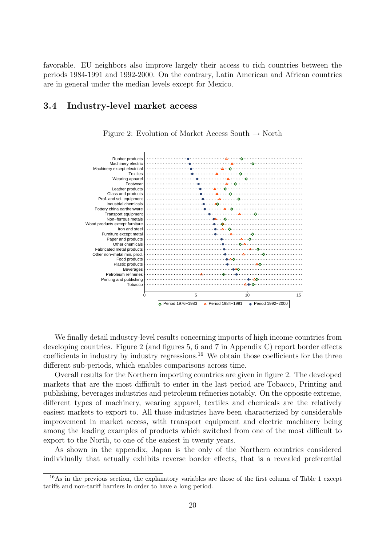favorable. EU neighbors also improve largely their access to rich countries between the periods 1984-1991 and 1992-2000. On the contrary, Latin American and African countries are in general under the median levels except for Mexico.

#### 3.4 Industry-level market access



Figure 2: Evolution of Market Access South  $\rightarrow$  North

We finally detail industry-level results concerning imports of high income countries from developing countries. Figure 2 (and figures 5, 6 and 7 in Appendix C) report border effects coefficients in industry by industry regressions.<sup>16</sup> We obtain those coefficients for the three different sub-periods, which enables comparisons across time.

Overall results for the Northern importing countries are given in figure 2. The developed markets that are the most difficult to enter in the last period are Tobacco, Printing and publishing, beverages industries and petroleum refineries notably. On the opposite extreme, different types of machinery, wearing apparel, textiles and chemicals are the relatively easiest markets to export to. All those industries have been characterized by considerable improvement in market access, with transport equipment and electric machinery being among the leading examples of products which switched from one of the most difficult to export to the North, to one of the easiest in twenty years.

As shown in the appendix, Japan is the only of the Northern countries considered individually that actually exhibits reverse border effects, that is a revealed preferential

<sup>16</sup>As in the previous section, the explanatory variables are those of the first column of Table 1 except tariffs and non-tariff barriers in order to have a long period.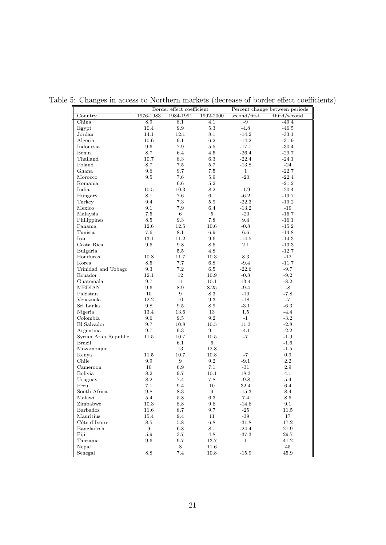| Country<br>1976-1983<br>1984-1991<br>1992-2000<br>second/first<br>third/second<br>$-9$<br>8.9<br>8.1<br>$-49.4$<br>China<br>4.1<br>Egypt<br>10.4<br>9.9<br>$5.3\,$<br>$-4.8$<br>$-46.5$<br>Jordan<br>14.1<br>8.1<br>$-33.1$<br>12.1<br>$-14.2$<br>Algeria<br>9.1<br>6.2<br>10.6<br>$-14.2$<br>$-31.9$<br>Indonesia<br>9.6<br>7.9<br>$5.5\,$<br>$-17.7$<br>$-30.4$<br>Benin<br>8.7<br>6.4<br>4.5<br>$-26.4$<br>$-29.7$<br>Thailand<br>10.7<br>8.3<br>6.3<br>$-22.4$<br>$-24.1$<br>Poland<br>8.7<br>7.5<br>5.7<br>$-13.8$<br>$-24$<br>9.6<br>9.7<br>7.5<br>$-22.7$<br>Ghana<br>$\mathbf{1}$<br>$-20$<br>Morocco<br>9.5<br>7.6<br>5.9<br>$-22.4$<br>6.6<br>5.2<br>$-21.2$<br>Romania<br>India<br>10.5<br>10.3<br>8.2<br>$-1.9$<br>$-20.4$<br>Hungary<br>8.1<br>7.6<br>6.1<br>$-6.2$<br>$-19.7$<br>Turkey<br>9.4<br>7.3<br>5.9<br>$-22.3$<br>$-19.2$<br>Mexico<br>9.1<br>7.9<br>6.4<br>$-13.2$<br>$-19$<br>Malaysia<br>$7.5\,$<br>5 <sup>5</sup><br>$-20$<br>6<br>$-16.7$<br>Philippines<br>8.5<br>9.3<br>7.8<br>9.4<br>$-16.1$<br>Panama<br>12.6<br>12.5<br>10.6<br>$-0.8$<br>$-15.2$<br>Tunisia<br>7.6<br>8.1<br>6.9<br>6.6<br>$-14.8$<br>13.1<br>9.6<br>$-14.5$<br>$-14.3$<br>Iran<br>11.2<br>Costa Rica<br>9.6<br>9.8<br>8.5<br>2.1<br>$-13.3$<br>Bulgaria<br>$5.5\,$<br>4.8<br>$-12.7$<br>Honduras<br>11.7<br>8.3<br>$-12$<br>10.8<br>10.3<br>8.5<br>6.8<br>$-9.4$<br>Korea<br>7.7<br>$-11.7$<br>Trinidad and Tobago<br>$9.3\,$<br>$7.2\,$<br>$6.5\,$<br>$-22.6$<br>$-9.7$<br>Ecuador<br>12.1<br>12<br>10.9<br>$-0.8$<br>$-9.2$<br>Guatemala<br>9.7<br>10.1<br>13.4<br>$-8.2$<br>11<br><b>MEDIAN</b><br>9.6<br>$\!\!\!\!\!8.9$<br>8.25<br>$-9.4$<br>$-8$<br>10<br>9<br>8.3<br>$-10$<br>$-7.8$<br>Pakistan<br>Venezuela<br>12.2<br>10<br>9.3<br>$-18$<br>$-7$<br>Sri Lanka<br>9.8<br>9.5<br>8.9<br>$-3.1$<br>$-6.3$<br>Nigeria<br>13.4<br>13.6<br>13<br>$1.5\,$<br>$-4.4$<br>Colombia<br>9.6<br>9.5<br>9.2<br>$-1$<br>$-3.2$<br>9.7<br>El Salvador<br>10.8<br>10.5<br>11.3<br>$-2.8$<br>Argentina<br>9.7<br>9.1<br>$-4.1$<br>$-2.2$<br>9.3<br>Syrian Arab Republic<br>$-7$<br>11.5<br>10.7<br>10.5<br>$-1.9$<br><b>Brazil</b><br>6.1<br>6<br>$-1.6$<br>Mozambique<br>13<br>12.8<br>$-1.5$<br>Kenya<br>10.7<br>0.9<br>11.5<br>10.8<br>$-7$<br>Chile<br>9<br>9.2<br>$-9.1$<br>$2.2\,$<br>9.9<br>10<br>6.9<br>7.1<br>$-31$<br>2.9<br>Cameroon<br>9.7<br>10.1<br><b>Bolivia</b><br>8.2<br>18.3<br>4.1<br>8.2<br>7.4<br>7.8<br>$-9.8$<br>Uruguay<br>5.4<br>Peru<br>7.1<br>9.4<br>10<br>32.4<br>6.4<br>South Africa<br>9.8<br>$\!\!\!\!\!8.3$<br>9<br>$-15.3$<br>8.4<br>Malawi<br>5.4<br>$5.8\,$<br>6.3<br>7.4<br>8.6<br>Zimbabwe<br>$-14.6$<br>10.3<br>8.8<br>9.6<br>9.1<br><b>Barbados</b><br>11.6<br>8.7<br>9.7<br>$-25$<br>11.5<br>$\mbox{-}39$<br>Mauritius<br>15.4<br>9.4<br>11<br>17<br>Côte d'Ivoire<br>$8.5\,$<br>$5.8\,$<br>$6.8\,$<br>$-31.8$<br>17.2<br>$\boldsymbol{9}$<br>Bangladesh<br>$6.8\,$<br>8.7<br>$-24.4$<br>27.9<br>$5.9\,$<br>4.8<br>Fiji<br>3.7<br>$-37.3$<br>29.7<br>Tanzania<br>9.6<br>9.7<br>13.7<br>$\mathbf{1}$<br>41.2<br>Nepal<br>8<br>11.6<br>45 |         | Border effect coefficient |     |      | Percent change between periods |      |  |  |
|-----------------------------------------------------------------------------------------------------------------------------------------------------------------------------------------------------------------------------------------------------------------------------------------------------------------------------------------------------------------------------------------------------------------------------------------------------------------------------------------------------------------------------------------------------------------------------------------------------------------------------------------------------------------------------------------------------------------------------------------------------------------------------------------------------------------------------------------------------------------------------------------------------------------------------------------------------------------------------------------------------------------------------------------------------------------------------------------------------------------------------------------------------------------------------------------------------------------------------------------------------------------------------------------------------------------------------------------------------------------------------------------------------------------------------------------------------------------------------------------------------------------------------------------------------------------------------------------------------------------------------------------------------------------------------------------------------------------------------------------------------------------------------------------------------------------------------------------------------------------------------------------------------------------------------------------------------------------------------------------------------------------------------------------------------------------------------------------------------------------------------------------------------------------------------------------------------------------------------------------------------------------------------------------------------------------------------------------------------------------------------------------------------------------------------------------------------------------------------------------------------------------------------------------------------------------------------------------------------------------------------------------------------------------------------------------------------------------------------------------------------------------------------------------------------------------------------------------------------------------------------------------------------------------------------------------------------------------------------------------------------------------------------------------------------------------------------|---------|---------------------------|-----|------|--------------------------------|------|--|--|
|                                                                                                                                                                                                                                                                                                                                                                                                                                                                                                                                                                                                                                                                                                                                                                                                                                                                                                                                                                                                                                                                                                                                                                                                                                                                                                                                                                                                                                                                                                                                                                                                                                                                                                                                                                                                                                                                                                                                                                                                                                                                                                                                                                                                                                                                                                                                                                                                                                                                                                                                                                                                                                                                                                                                                                                                                                                                                                                                                                                                                                                                             |         |                           |     |      |                                |      |  |  |
|                                                                                                                                                                                                                                                                                                                                                                                                                                                                                                                                                                                                                                                                                                                                                                                                                                                                                                                                                                                                                                                                                                                                                                                                                                                                                                                                                                                                                                                                                                                                                                                                                                                                                                                                                                                                                                                                                                                                                                                                                                                                                                                                                                                                                                                                                                                                                                                                                                                                                                                                                                                                                                                                                                                                                                                                                                                                                                                                                                                                                                                                             |         |                           |     |      |                                |      |  |  |
|                                                                                                                                                                                                                                                                                                                                                                                                                                                                                                                                                                                                                                                                                                                                                                                                                                                                                                                                                                                                                                                                                                                                                                                                                                                                                                                                                                                                                                                                                                                                                                                                                                                                                                                                                                                                                                                                                                                                                                                                                                                                                                                                                                                                                                                                                                                                                                                                                                                                                                                                                                                                                                                                                                                                                                                                                                                                                                                                                                                                                                                                             |         |                           |     |      |                                |      |  |  |
|                                                                                                                                                                                                                                                                                                                                                                                                                                                                                                                                                                                                                                                                                                                                                                                                                                                                                                                                                                                                                                                                                                                                                                                                                                                                                                                                                                                                                                                                                                                                                                                                                                                                                                                                                                                                                                                                                                                                                                                                                                                                                                                                                                                                                                                                                                                                                                                                                                                                                                                                                                                                                                                                                                                                                                                                                                                                                                                                                                                                                                                                             |         |                           |     |      |                                |      |  |  |
|                                                                                                                                                                                                                                                                                                                                                                                                                                                                                                                                                                                                                                                                                                                                                                                                                                                                                                                                                                                                                                                                                                                                                                                                                                                                                                                                                                                                                                                                                                                                                                                                                                                                                                                                                                                                                                                                                                                                                                                                                                                                                                                                                                                                                                                                                                                                                                                                                                                                                                                                                                                                                                                                                                                                                                                                                                                                                                                                                                                                                                                                             |         |                           |     |      |                                |      |  |  |
|                                                                                                                                                                                                                                                                                                                                                                                                                                                                                                                                                                                                                                                                                                                                                                                                                                                                                                                                                                                                                                                                                                                                                                                                                                                                                                                                                                                                                                                                                                                                                                                                                                                                                                                                                                                                                                                                                                                                                                                                                                                                                                                                                                                                                                                                                                                                                                                                                                                                                                                                                                                                                                                                                                                                                                                                                                                                                                                                                                                                                                                                             |         |                           |     |      |                                |      |  |  |
|                                                                                                                                                                                                                                                                                                                                                                                                                                                                                                                                                                                                                                                                                                                                                                                                                                                                                                                                                                                                                                                                                                                                                                                                                                                                                                                                                                                                                                                                                                                                                                                                                                                                                                                                                                                                                                                                                                                                                                                                                                                                                                                                                                                                                                                                                                                                                                                                                                                                                                                                                                                                                                                                                                                                                                                                                                                                                                                                                                                                                                                                             |         |                           |     |      |                                |      |  |  |
|                                                                                                                                                                                                                                                                                                                                                                                                                                                                                                                                                                                                                                                                                                                                                                                                                                                                                                                                                                                                                                                                                                                                                                                                                                                                                                                                                                                                                                                                                                                                                                                                                                                                                                                                                                                                                                                                                                                                                                                                                                                                                                                                                                                                                                                                                                                                                                                                                                                                                                                                                                                                                                                                                                                                                                                                                                                                                                                                                                                                                                                                             |         |                           |     |      |                                |      |  |  |
|                                                                                                                                                                                                                                                                                                                                                                                                                                                                                                                                                                                                                                                                                                                                                                                                                                                                                                                                                                                                                                                                                                                                                                                                                                                                                                                                                                                                                                                                                                                                                                                                                                                                                                                                                                                                                                                                                                                                                                                                                                                                                                                                                                                                                                                                                                                                                                                                                                                                                                                                                                                                                                                                                                                                                                                                                                                                                                                                                                                                                                                                             |         |                           |     |      |                                |      |  |  |
|                                                                                                                                                                                                                                                                                                                                                                                                                                                                                                                                                                                                                                                                                                                                                                                                                                                                                                                                                                                                                                                                                                                                                                                                                                                                                                                                                                                                                                                                                                                                                                                                                                                                                                                                                                                                                                                                                                                                                                                                                                                                                                                                                                                                                                                                                                                                                                                                                                                                                                                                                                                                                                                                                                                                                                                                                                                                                                                                                                                                                                                                             |         |                           |     |      |                                |      |  |  |
|                                                                                                                                                                                                                                                                                                                                                                                                                                                                                                                                                                                                                                                                                                                                                                                                                                                                                                                                                                                                                                                                                                                                                                                                                                                                                                                                                                                                                                                                                                                                                                                                                                                                                                                                                                                                                                                                                                                                                                                                                                                                                                                                                                                                                                                                                                                                                                                                                                                                                                                                                                                                                                                                                                                                                                                                                                                                                                                                                                                                                                                                             |         |                           |     |      |                                |      |  |  |
|                                                                                                                                                                                                                                                                                                                                                                                                                                                                                                                                                                                                                                                                                                                                                                                                                                                                                                                                                                                                                                                                                                                                                                                                                                                                                                                                                                                                                                                                                                                                                                                                                                                                                                                                                                                                                                                                                                                                                                                                                                                                                                                                                                                                                                                                                                                                                                                                                                                                                                                                                                                                                                                                                                                                                                                                                                                                                                                                                                                                                                                                             |         |                           |     |      |                                |      |  |  |
|                                                                                                                                                                                                                                                                                                                                                                                                                                                                                                                                                                                                                                                                                                                                                                                                                                                                                                                                                                                                                                                                                                                                                                                                                                                                                                                                                                                                                                                                                                                                                                                                                                                                                                                                                                                                                                                                                                                                                                                                                                                                                                                                                                                                                                                                                                                                                                                                                                                                                                                                                                                                                                                                                                                                                                                                                                                                                                                                                                                                                                                                             |         |                           |     |      |                                |      |  |  |
|                                                                                                                                                                                                                                                                                                                                                                                                                                                                                                                                                                                                                                                                                                                                                                                                                                                                                                                                                                                                                                                                                                                                                                                                                                                                                                                                                                                                                                                                                                                                                                                                                                                                                                                                                                                                                                                                                                                                                                                                                                                                                                                                                                                                                                                                                                                                                                                                                                                                                                                                                                                                                                                                                                                                                                                                                                                                                                                                                                                                                                                                             |         |                           |     |      |                                |      |  |  |
|                                                                                                                                                                                                                                                                                                                                                                                                                                                                                                                                                                                                                                                                                                                                                                                                                                                                                                                                                                                                                                                                                                                                                                                                                                                                                                                                                                                                                                                                                                                                                                                                                                                                                                                                                                                                                                                                                                                                                                                                                                                                                                                                                                                                                                                                                                                                                                                                                                                                                                                                                                                                                                                                                                                                                                                                                                                                                                                                                                                                                                                                             |         |                           |     |      |                                |      |  |  |
|                                                                                                                                                                                                                                                                                                                                                                                                                                                                                                                                                                                                                                                                                                                                                                                                                                                                                                                                                                                                                                                                                                                                                                                                                                                                                                                                                                                                                                                                                                                                                                                                                                                                                                                                                                                                                                                                                                                                                                                                                                                                                                                                                                                                                                                                                                                                                                                                                                                                                                                                                                                                                                                                                                                                                                                                                                                                                                                                                                                                                                                                             |         |                           |     |      |                                |      |  |  |
|                                                                                                                                                                                                                                                                                                                                                                                                                                                                                                                                                                                                                                                                                                                                                                                                                                                                                                                                                                                                                                                                                                                                                                                                                                                                                                                                                                                                                                                                                                                                                                                                                                                                                                                                                                                                                                                                                                                                                                                                                                                                                                                                                                                                                                                                                                                                                                                                                                                                                                                                                                                                                                                                                                                                                                                                                                                                                                                                                                                                                                                                             |         |                           |     |      |                                |      |  |  |
|                                                                                                                                                                                                                                                                                                                                                                                                                                                                                                                                                                                                                                                                                                                                                                                                                                                                                                                                                                                                                                                                                                                                                                                                                                                                                                                                                                                                                                                                                                                                                                                                                                                                                                                                                                                                                                                                                                                                                                                                                                                                                                                                                                                                                                                                                                                                                                                                                                                                                                                                                                                                                                                                                                                                                                                                                                                                                                                                                                                                                                                                             |         |                           |     |      |                                |      |  |  |
|                                                                                                                                                                                                                                                                                                                                                                                                                                                                                                                                                                                                                                                                                                                                                                                                                                                                                                                                                                                                                                                                                                                                                                                                                                                                                                                                                                                                                                                                                                                                                                                                                                                                                                                                                                                                                                                                                                                                                                                                                                                                                                                                                                                                                                                                                                                                                                                                                                                                                                                                                                                                                                                                                                                                                                                                                                                                                                                                                                                                                                                                             |         |                           |     |      |                                |      |  |  |
|                                                                                                                                                                                                                                                                                                                                                                                                                                                                                                                                                                                                                                                                                                                                                                                                                                                                                                                                                                                                                                                                                                                                                                                                                                                                                                                                                                                                                                                                                                                                                                                                                                                                                                                                                                                                                                                                                                                                                                                                                                                                                                                                                                                                                                                                                                                                                                                                                                                                                                                                                                                                                                                                                                                                                                                                                                                                                                                                                                                                                                                                             |         |                           |     |      |                                |      |  |  |
|                                                                                                                                                                                                                                                                                                                                                                                                                                                                                                                                                                                                                                                                                                                                                                                                                                                                                                                                                                                                                                                                                                                                                                                                                                                                                                                                                                                                                                                                                                                                                                                                                                                                                                                                                                                                                                                                                                                                                                                                                                                                                                                                                                                                                                                                                                                                                                                                                                                                                                                                                                                                                                                                                                                                                                                                                                                                                                                                                                                                                                                                             |         |                           |     |      |                                |      |  |  |
|                                                                                                                                                                                                                                                                                                                                                                                                                                                                                                                                                                                                                                                                                                                                                                                                                                                                                                                                                                                                                                                                                                                                                                                                                                                                                                                                                                                                                                                                                                                                                                                                                                                                                                                                                                                                                                                                                                                                                                                                                                                                                                                                                                                                                                                                                                                                                                                                                                                                                                                                                                                                                                                                                                                                                                                                                                                                                                                                                                                                                                                                             |         |                           |     |      |                                |      |  |  |
|                                                                                                                                                                                                                                                                                                                                                                                                                                                                                                                                                                                                                                                                                                                                                                                                                                                                                                                                                                                                                                                                                                                                                                                                                                                                                                                                                                                                                                                                                                                                                                                                                                                                                                                                                                                                                                                                                                                                                                                                                                                                                                                                                                                                                                                                                                                                                                                                                                                                                                                                                                                                                                                                                                                                                                                                                                                                                                                                                                                                                                                                             |         |                           |     |      |                                |      |  |  |
|                                                                                                                                                                                                                                                                                                                                                                                                                                                                                                                                                                                                                                                                                                                                                                                                                                                                                                                                                                                                                                                                                                                                                                                                                                                                                                                                                                                                                                                                                                                                                                                                                                                                                                                                                                                                                                                                                                                                                                                                                                                                                                                                                                                                                                                                                                                                                                                                                                                                                                                                                                                                                                                                                                                                                                                                                                                                                                                                                                                                                                                                             |         |                           |     |      |                                |      |  |  |
|                                                                                                                                                                                                                                                                                                                                                                                                                                                                                                                                                                                                                                                                                                                                                                                                                                                                                                                                                                                                                                                                                                                                                                                                                                                                                                                                                                                                                                                                                                                                                                                                                                                                                                                                                                                                                                                                                                                                                                                                                                                                                                                                                                                                                                                                                                                                                                                                                                                                                                                                                                                                                                                                                                                                                                                                                                                                                                                                                                                                                                                                             |         |                           |     |      |                                |      |  |  |
|                                                                                                                                                                                                                                                                                                                                                                                                                                                                                                                                                                                                                                                                                                                                                                                                                                                                                                                                                                                                                                                                                                                                                                                                                                                                                                                                                                                                                                                                                                                                                                                                                                                                                                                                                                                                                                                                                                                                                                                                                                                                                                                                                                                                                                                                                                                                                                                                                                                                                                                                                                                                                                                                                                                                                                                                                                                                                                                                                                                                                                                                             |         |                           |     |      |                                |      |  |  |
|                                                                                                                                                                                                                                                                                                                                                                                                                                                                                                                                                                                                                                                                                                                                                                                                                                                                                                                                                                                                                                                                                                                                                                                                                                                                                                                                                                                                                                                                                                                                                                                                                                                                                                                                                                                                                                                                                                                                                                                                                                                                                                                                                                                                                                                                                                                                                                                                                                                                                                                                                                                                                                                                                                                                                                                                                                                                                                                                                                                                                                                                             |         |                           |     |      |                                |      |  |  |
|                                                                                                                                                                                                                                                                                                                                                                                                                                                                                                                                                                                                                                                                                                                                                                                                                                                                                                                                                                                                                                                                                                                                                                                                                                                                                                                                                                                                                                                                                                                                                                                                                                                                                                                                                                                                                                                                                                                                                                                                                                                                                                                                                                                                                                                                                                                                                                                                                                                                                                                                                                                                                                                                                                                                                                                                                                                                                                                                                                                                                                                                             |         |                           |     |      |                                |      |  |  |
|                                                                                                                                                                                                                                                                                                                                                                                                                                                                                                                                                                                                                                                                                                                                                                                                                                                                                                                                                                                                                                                                                                                                                                                                                                                                                                                                                                                                                                                                                                                                                                                                                                                                                                                                                                                                                                                                                                                                                                                                                                                                                                                                                                                                                                                                                                                                                                                                                                                                                                                                                                                                                                                                                                                                                                                                                                                                                                                                                                                                                                                                             |         |                           |     |      |                                |      |  |  |
|                                                                                                                                                                                                                                                                                                                                                                                                                                                                                                                                                                                                                                                                                                                                                                                                                                                                                                                                                                                                                                                                                                                                                                                                                                                                                                                                                                                                                                                                                                                                                                                                                                                                                                                                                                                                                                                                                                                                                                                                                                                                                                                                                                                                                                                                                                                                                                                                                                                                                                                                                                                                                                                                                                                                                                                                                                                                                                                                                                                                                                                                             |         |                           |     |      |                                |      |  |  |
|                                                                                                                                                                                                                                                                                                                                                                                                                                                                                                                                                                                                                                                                                                                                                                                                                                                                                                                                                                                                                                                                                                                                                                                                                                                                                                                                                                                                                                                                                                                                                                                                                                                                                                                                                                                                                                                                                                                                                                                                                                                                                                                                                                                                                                                                                                                                                                                                                                                                                                                                                                                                                                                                                                                                                                                                                                                                                                                                                                                                                                                                             |         |                           |     |      |                                |      |  |  |
|                                                                                                                                                                                                                                                                                                                                                                                                                                                                                                                                                                                                                                                                                                                                                                                                                                                                                                                                                                                                                                                                                                                                                                                                                                                                                                                                                                                                                                                                                                                                                                                                                                                                                                                                                                                                                                                                                                                                                                                                                                                                                                                                                                                                                                                                                                                                                                                                                                                                                                                                                                                                                                                                                                                                                                                                                                                                                                                                                                                                                                                                             |         |                           |     |      |                                |      |  |  |
|                                                                                                                                                                                                                                                                                                                                                                                                                                                                                                                                                                                                                                                                                                                                                                                                                                                                                                                                                                                                                                                                                                                                                                                                                                                                                                                                                                                                                                                                                                                                                                                                                                                                                                                                                                                                                                                                                                                                                                                                                                                                                                                                                                                                                                                                                                                                                                                                                                                                                                                                                                                                                                                                                                                                                                                                                                                                                                                                                                                                                                                                             |         |                           |     |      |                                |      |  |  |
|                                                                                                                                                                                                                                                                                                                                                                                                                                                                                                                                                                                                                                                                                                                                                                                                                                                                                                                                                                                                                                                                                                                                                                                                                                                                                                                                                                                                                                                                                                                                                                                                                                                                                                                                                                                                                                                                                                                                                                                                                                                                                                                                                                                                                                                                                                                                                                                                                                                                                                                                                                                                                                                                                                                                                                                                                                                                                                                                                                                                                                                                             |         |                           |     |      |                                |      |  |  |
|                                                                                                                                                                                                                                                                                                                                                                                                                                                                                                                                                                                                                                                                                                                                                                                                                                                                                                                                                                                                                                                                                                                                                                                                                                                                                                                                                                                                                                                                                                                                                                                                                                                                                                                                                                                                                                                                                                                                                                                                                                                                                                                                                                                                                                                                                                                                                                                                                                                                                                                                                                                                                                                                                                                                                                                                                                                                                                                                                                                                                                                                             |         |                           |     |      |                                |      |  |  |
|                                                                                                                                                                                                                                                                                                                                                                                                                                                                                                                                                                                                                                                                                                                                                                                                                                                                                                                                                                                                                                                                                                                                                                                                                                                                                                                                                                                                                                                                                                                                                                                                                                                                                                                                                                                                                                                                                                                                                                                                                                                                                                                                                                                                                                                                                                                                                                                                                                                                                                                                                                                                                                                                                                                                                                                                                                                                                                                                                                                                                                                                             |         |                           |     |      |                                |      |  |  |
|                                                                                                                                                                                                                                                                                                                                                                                                                                                                                                                                                                                                                                                                                                                                                                                                                                                                                                                                                                                                                                                                                                                                                                                                                                                                                                                                                                                                                                                                                                                                                                                                                                                                                                                                                                                                                                                                                                                                                                                                                                                                                                                                                                                                                                                                                                                                                                                                                                                                                                                                                                                                                                                                                                                                                                                                                                                                                                                                                                                                                                                                             |         |                           |     |      |                                |      |  |  |
|                                                                                                                                                                                                                                                                                                                                                                                                                                                                                                                                                                                                                                                                                                                                                                                                                                                                                                                                                                                                                                                                                                                                                                                                                                                                                                                                                                                                                                                                                                                                                                                                                                                                                                                                                                                                                                                                                                                                                                                                                                                                                                                                                                                                                                                                                                                                                                                                                                                                                                                                                                                                                                                                                                                                                                                                                                                                                                                                                                                                                                                                             |         |                           |     |      |                                |      |  |  |
|                                                                                                                                                                                                                                                                                                                                                                                                                                                                                                                                                                                                                                                                                                                                                                                                                                                                                                                                                                                                                                                                                                                                                                                                                                                                                                                                                                                                                                                                                                                                                                                                                                                                                                                                                                                                                                                                                                                                                                                                                                                                                                                                                                                                                                                                                                                                                                                                                                                                                                                                                                                                                                                                                                                                                                                                                                                                                                                                                                                                                                                                             |         |                           |     |      |                                |      |  |  |
|                                                                                                                                                                                                                                                                                                                                                                                                                                                                                                                                                                                                                                                                                                                                                                                                                                                                                                                                                                                                                                                                                                                                                                                                                                                                                                                                                                                                                                                                                                                                                                                                                                                                                                                                                                                                                                                                                                                                                                                                                                                                                                                                                                                                                                                                                                                                                                                                                                                                                                                                                                                                                                                                                                                                                                                                                                                                                                                                                                                                                                                                             |         |                           |     |      |                                |      |  |  |
|                                                                                                                                                                                                                                                                                                                                                                                                                                                                                                                                                                                                                                                                                                                                                                                                                                                                                                                                                                                                                                                                                                                                                                                                                                                                                                                                                                                                                                                                                                                                                                                                                                                                                                                                                                                                                                                                                                                                                                                                                                                                                                                                                                                                                                                                                                                                                                                                                                                                                                                                                                                                                                                                                                                                                                                                                                                                                                                                                                                                                                                                             |         |                           |     |      |                                |      |  |  |
|                                                                                                                                                                                                                                                                                                                                                                                                                                                                                                                                                                                                                                                                                                                                                                                                                                                                                                                                                                                                                                                                                                                                                                                                                                                                                                                                                                                                                                                                                                                                                                                                                                                                                                                                                                                                                                                                                                                                                                                                                                                                                                                                                                                                                                                                                                                                                                                                                                                                                                                                                                                                                                                                                                                                                                                                                                                                                                                                                                                                                                                                             |         |                           |     |      |                                |      |  |  |
|                                                                                                                                                                                                                                                                                                                                                                                                                                                                                                                                                                                                                                                                                                                                                                                                                                                                                                                                                                                                                                                                                                                                                                                                                                                                                                                                                                                                                                                                                                                                                                                                                                                                                                                                                                                                                                                                                                                                                                                                                                                                                                                                                                                                                                                                                                                                                                                                                                                                                                                                                                                                                                                                                                                                                                                                                                                                                                                                                                                                                                                                             |         |                           |     |      |                                |      |  |  |
|                                                                                                                                                                                                                                                                                                                                                                                                                                                                                                                                                                                                                                                                                                                                                                                                                                                                                                                                                                                                                                                                                                                                                                                                                                                                                                                                                                                                                                                                                                                                                                                                                                                                                                                                                                                                                                                                                                                                                                                                                                                                                                                                                                                                                                                                                                                                                                                                                                                                                                                                                                                                                                                                                                                                                                                                                                                                                                                                                                                                                                                                             |         |                           |     |      |                                |      |  |  |
|                                                                                                                                                                                                                                                                                                                                                                                                                                                                                                                                                                                                                                                                                                                                                                                                                                                                                                                                                                                                                                                                                                                                                                                                                                                                                                                                                                                                                                                                                                                                                                                                                                                                                                                                                                                                                                                                                                                                                                                                                                                                                                                                                                                                                                                                                                                                                                                                                                                                                                                                                                                                                                                                                                                                                                                                                                                                                                                                                                                                                                                                             |         |                           |     |      |                                |      |  |  |
|                                                                                                                                                                                                                                                                                                                                                                                                                                                                                                                                                                                                                                                                                                                                                                                                                                                                                                                                                                                                                                                                                                                                                                                                                                                                                                                                                                                                                                                                                                                                                                                                                                                                                                                                                                                                                                                                                                                                                                                                                                                                                                                                                                                                                                                                                                                                                                                                                                                                                                                                                                                                                                                                                                                                                                                                                                                                                                                                                                                                                                                                             |         |                           |     |      |                                |      |  |  |
|                                                                                                                                                                                                                                                                                                                                                                                                                                                                                                                                                                                                                                                                                                                                                                                                                                                                                                                                                                                                                                                                                                                                                                                                                                                                                                                                                                                                                                                                                                                                                                                                                                                                                                                                                                                                                                                                                                                                                                                                                                                                                                                                                                                                                                                                                                                                                                                                                                                                                                                                                                                                                                                                                                                                                                                                                                                                                                                                                                                                                                                                             |         |                           |     |      |                                |      |  |  |
|                                                                                                                                                                                                                                                                                                                                                                                                                                                                                                                                                                                                                                                                                                                                                                                                                                                                                                                                                                                                                                                                                                                                                                                                                                                                                                                                                                                                                                                                                                                                                                                                                                                                                                                                                                                                                                                                                                                                                                                                                                                                                                                                                                                                                                                                                                                                                                                                                                                                                                                                                                                                                                                                                                                                                                                                                                                                                                                                                                                                                                                                             |         |                           |     |      |                                |      |  |  |
|                                                                                                                                                                                                                                                                                                                                                                                                                                                                                                                                                                                                                                                                                                                                                                                                                                                                                                                                                                                                                                                                                                                                                                                                                                                                                                                                                                                                                                                                                                                                                                                                                                                                                                                                                                                                                                                                                                                                                                                                                                                                                                                                                                                                                                                                                                                                                                                                                                                                                                                                                                                                                                                                                                                                                                                                                                                                                                                                                                                                                                                                             |         |                           |     |      |                                |      |  |  |
|                                                                                                                                                                                                                                                                                                                                                                                                                                                                                                                                                                                                                                                                                                                                                                                                                                                                                                                                                                                                                                                                                                                                                                                                                                                                                                                                                                                                                                                                                                                                                                                                                                                                                                                                                                                                                                                                                                                                                                                                                                                                                                                                                                                                                                                                                                                                                                                                                                                                                                                                                                                                                                                                                                                                                                                                                                                                                                                                                                                                                                                                             |         |                           |     |      |                                |      |  |  |
|                                                                                                                                                                                                                                                                                                                                                                                                                                                                                                                                                                                                                                                                                                                                                                                                                                                                                                                                                                                                                                                                                                                                                                                                                                                                                                                                                                                                                                                                                                                                                                                                                                                                                                                                                                                                                                                                                                                                                                                                                                                                                                                                                                                                                                                                                                                                                                                                                                                                                                                                                                                                                                                                                                                                                                                                                                                                                                                                                                                                                                                                             |         |                           |     |      |                                |      |  |  |
|                                                                                                                                                                                                                                                                                                                                                                                                                                                                                                                                                                                                                                                                                                                                                                                                                                                                                                                                                                                                                                                                                                                                                                                                                                                                                                                                                                                                                                                                                                                                                                                                                                                                                                                                                                                                                                                                                                                                                                                                                                                                                                                                                                                                                                                                                                                                                                                                                                                                                                                                                                                                                                                                                                                                                                                                                                                                                                                                                                                                                                                                             |         |                           |     |      |                                |      |  |  |
|                                                                                                                                                                                                                                                                                                                                                                                                                                                                                                                                                                                                                                                                                                                                                                                                                                                                                                                                                                                                                                                                                                                                                                                                                                                                                                                                                                                                                                                                                                                                                                                                                                                                                                                                                                                                                                                                                                                                                                                                                                                                                                                                                                                                                                                                                                                                                                                                                                                                                                                                                                                                                                                                                                                                                                                                                                                                                                                                                                                                                                                                             |         |                           |     |      |                                |      |  |  |
|                                                                                                                                                                                                                                                                                                                                                                                                                                                                                                                                                                                                                                                                                                                                                                                                                                                                                                                                                                                                                                                                                                                                                                                                                                                                                                                                                                                                                                                                                                                                                                                                                                                                                                                                                                                                                                                                                                                                                                                                                                                                                                                                                                                                                                                                                                                                                                                                                                                                                                                                                                                                                                                                                                                                                                                                                                                                                                                                                                                                                                                                             |         |                           |     |      |                                |      |  |  |
|                                                                                                                                                                                                                                                                                                                                                                                                                                                                                                                                                                                                                                                                                                                                                                                                                                                                                                                                                                                                                                                                                                                                                                                                                                                                                                                                                                                                                                                                                                                                                                                                                                                                                                                                                                                                                                                                                                                                                                                                                                                                                                                                                                                                                                                                                                                                                                                                                                                                                                                                                                                                                                                                                                                                                                                                                                                                                                                                                                                                                                                                             |         |                           |     |      |                                |      |  |  |
|                                                                                                                                                                                                                                                                                                                                                                                                                                                                                                                                                                                                                                                                                                                                                                                                                                                                                                                                                                                                                                                                                                                                                                                                                                                                                                                                                                                                                                                                                                                                                                                                                                                                                                                                                                                                                                                                                                                                                                                                                                                                                                                                                                                                                                                                                                                                                                                                                                                                                                                                                                                                                                                                                                                                                                                                                                                                                                                                                                                                                                                                             | Senegal | $\!\!\!\!\!8.8$           | 7.4 | 10.8 | $-15.9$                        | 45.9 |  |  |

Table 5: Changes in access to Northern markets (decrease of border effect coefficients)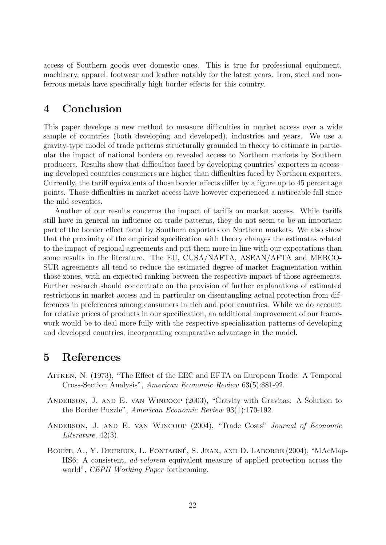access of Southern goods over domestic ones. This is true for professional equipment, machinery, apparel, footwear and leather notably for the latest years. Iron, steel and nonferrous metals have specifically high border effects for this country.

## 4 Conclusion

This paper develops a new method to measure difficulties in market access over a wide sample of countries (both developing and developed), industries and years. We use a gravity-type model of trade patterns structurally grounded in theory to estimate in particular the impact of national borders on revealed access to Northern markets by Southern producers. Results show that difficulties faced by developing countries' exporters in accessing developed countries consumers are higher than difficulties faced by Northern exporters. Currently, the tariff equivalents of those border effects differ by a figure up to 45 percentage points. Those difficulties in market access have however experienced a noticeable fall since the mid seventies.

Another of our results concerns the impact of tariffs on market access. While tariffs still have in general an influence on trade patterns, they do not seem to be an important part of the border effect faced by Southern exporters on Northern markets. We also show that the proximity of the empirical specification with theory changes the estimates related to the impact of regional agreements and put them more in line with our expectations than some results in the literature. The EU, CUSA/NAFTA, ASEAN/AFTA and MERCO-SUR agreements all tend to reduce the estimated degree of market fragmentation within those zones, with an expected ranking between the respective impact of those agreements. Further research should concentrate on the provision of further explanations of estimated restrictions in market access and in particular on disentangling actual protection from differences in preferences among consumers in rich and poor countries. While we do account for relative prices of products in our specification, an additional improvement of our framework would be to deal more fully with the respective specialization patterns of developing and developed countries, incorporating comparative advantage in the model.

## 5 References

- Aitken, N. (1973), "The Effect of the EEC and EFTA on European Trade: A Temporal Cross-Section Analysis", American Economic Review 63(5):881-92.
- Anderson, J. and E. van Wincoop (2003), "Gravity with Gravitas: A Solution to the Border Puzzle", American Economic Review 93(1):170-192.
- Anderson, J. and E. van Wincoop (2004), "Trade Costs" Journal of Economic Literature, 42(3).
- BOUËT, A., Y. DECREUX, L. FONTAGNÉ, S. JEAN, AND D. LABORDE (2004), "MACMap-HS6: A consistent, ad-valorem equivalent measure of applied protection across the world", CEPII Working Paper forthcoming.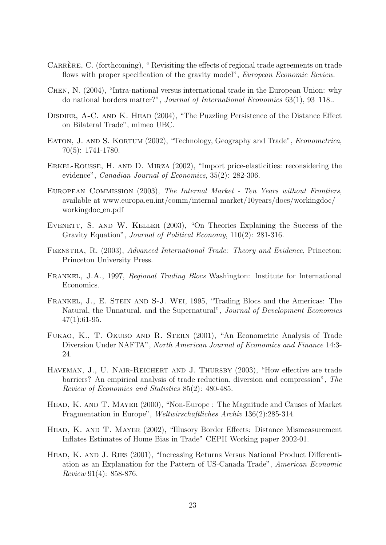- CARRÈRE, C. (forthcoming), "Revisiting the effects of regional trade agreements on trade flows with proper specification of the gravity model", European Economic Review.
- Chen, N. (2004), "Intra-national versus international trade in the European Union: why do national borders matter?", Journal of International Economics 63(1), 93–118..
- DISDIER, A-C. AND K. HEAD (2004), "The Puzzling Persistence of the Distance Effect on Bilateral Trade", mimeo UBC.
- EATON, J. AND S. KORTUM (2002), "Technology, Geography and Trade", *Econometrica*, 70(5): 1741-1780.
- Erkel-Rousse, H. and D. Mirza (2002), "Import price-elasticities: reconsidering the evidence", Canadian Journal of Economics, 35(2): 282-306.
- European Commission (2003), The Internal Market Ten Years without Frontiers, available at www.europa.eu.int/comm/internal market/10years/docs/workingdoc/ workingdoc en.pdf
- EVENETT, S. AND W. KELLER (2003), "On Theories Explaining the Success of the Gravity Equation", Journal of Political Economy, 110(2): 281-316.
- Feenstra, R. (2003), Advanced International Trade: Theory and Evidence, Princeton: Princeton University Press.
- Frankel, J.A., 1997, Regional Trading Blocs Washington: Institute for International Economics.
- FRANKEL, J., E. STEIN AND S-J. WEI, 1995, "Trading Blocs and the Americas: The Natural, the Unnatural, and the Supernatural", Journal of Development Economics  $47(1):61-95.$
- Fukao, K., T. Okubo and R. Stern (2001), "An Econometric Analysis of Trade Diversion Under NAFTA", North American Journal of Economics and Finance 14:3- 24.
- HAVEMAN, J., U. NAIR-REICHERT AND J. THURSBY (2003), "How effective are trade barriers? An empirical analysis of trade reduction, diversion and compression", The Review of Economics and Statistics 85(2): 480-485.
- Head, K. and T. Mayer (2000), "Non-Europe : The Magnitude and Causes of Market Fragmentation in Europe", Weltwirschaftliches Archiv 136(2):285-314.
- Head, K. and T. Mayer (2002), "Illusory Border Effects: Distance Mismeasurement Inflates Estimates of Home Bias in Trade" CEPII Working paper 2002-01.
- Head, K. and J. Ries (2001), "Increasing Returns Versus National Product Differentiation as an Explanation for the Pattern of US-Canada Trade", American Economic Review 91(4): 858-876.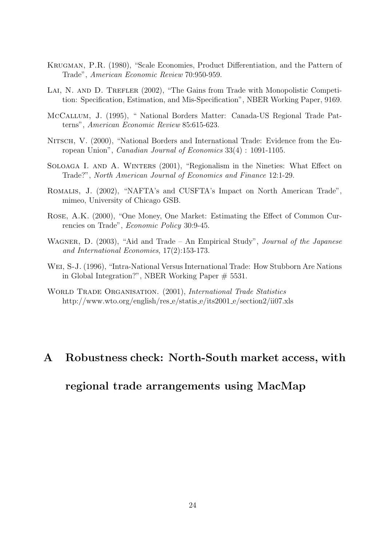- Krugman, P.R. (1980), "Scale Economies, Product Differentiation, and the Pattern of Trade", American Economic Review 70:950-959.
- LAI, N. AND D. TREFLER (2002), "The Gains from Trade with Monopolistic Competition: Specification, Estimation, and Mis-Specification", NBER Working Paper, 9169.
- McCallum, J. (1995), " National Borders Matter: Canada-US Regional Trade Patterns", American Economic Review 85:615-623.
- Nitsch, V. (2000), "National Borders and International Trade: Evidence from the European Union", Canadian Journal of Economics 33(4) : 1091-1105.
- Soloaga I. and A. Winters (2001), "Regionalism in the Nineties: What Effect on Trade?", North American Journal of Economics and Finance 12:1-29.
- Romalis, J. (2002), "NAFTA's and CUSFTA's Impact on North American Trade", mimeo, University of Chicago GSB.
- Rose, A.K. (2000), "One Money, One Market: Estimating the Effect of Common Currencies on Trade", Economic Policy 30:9-45.
- WAGNER, D. (2003), "Aid and Trade An Empirical Study", Journal of the Japanese and International Economies, 17(2):153-173.
- Wei, S-J. (1996), "Intra-National Versus International Trade: How Stubborn Are Nations in Global Integration?", NBER Working Paper # 5531.
- WORLD TRADE ORGANISATION. (2001), International Trade Statistics http://www.wto.org/english/res e/statis e/its2001 e/section2/ii07.xls

## A Robustness check: North-South market access, with

# regional trade arrangements using MacMap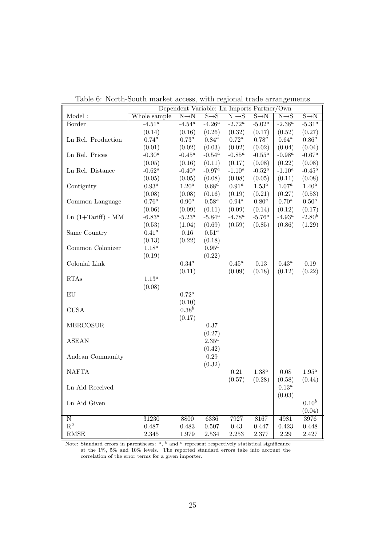|                     | Dependent Variable: Ln Imports Partner/Own |                              |                   |                              |                              |                              |                   |  |  |
|---------------------|--------------------------------------------|------------------------------|-------------------|------------------------------|------------------------------|------------------------------|-------------------|--|--|
| Model:              | Whole sample                               | $\overline{N \rightarrow N}$ | $S \rightarrow S$ | $\overline{N \rightarrow S}$ | $\overline{S \rightarrow N}$ | $\overline{N \rightarrow S}$ | $S \rightarrow N$ |  |  |
| <b>Border</b>       | $-4.51^a$                                  | $-4.54^a$                    | $-4.26^a$         | $-2.72^a$                    | $-5.02^a$                    | $-2.38^a$                    | $-5.31^a$         |  |  |
|                     | (0.14)                                     | (0.16)                       | (0.26)            | (0.32)                       | (0.17)                       | (0.52)                       | (0.27)            |  |  |
| Ln Rel. Production  | $0.74^a$                                   | $0.73^a$                     | $0.84^a$          | $0.72^a$                     | $0.78^a$                     | $0.64^a$                     | $0.86^a$          |  |  |
|                     | (0.01)                                     | (0.02)                       | (0.03)            | (0.02)                       | (0.02)                       | (0.04)                       | (0.04)            |  |  |
| Ln Rel. Prices      | $-0.30^a$                                  | $-0.45^a$                    | $-0.54^a$         | $-0.85^a$                    | -0.55 $^a$                   | $-0.98^a$                    | $-0.67^a$         |  |  |
|                     | (0.05)                                     | (0.16)                       | (0.11)            | (0.17)                       | (0.08)                       | (0.22)                       | (0.08)            |  |  |
| Ln Rel. Distance    | $-0.62^a$                                  | $-0.40^a$                    | $-0.97^a$         | $\text{-}1.10^a$             | $-0.52^a$                    | $-1.10^a$                    | -0.45 $^a$        |  |  |
|                     | (0.05)                                     | (0.05)                       | (0.08)            | (0.08)                       | (0.05)                       | (0.11)                       | (0.08)            |  |  |
| Contiguity          | $0.93^a$                                   | $1.20^a$                     | $0.68^a$          | $0.91^a$                     | $1.53^a$                     | $1.07^a$                     | $1.40^a$          |  |  |
|                     | (0.08)                                     | (0.08)                       | (0.16)            | (0.19)                       | (0.21)                       | (0.27)                       | (0.53)            |  |  |
| Common Language     | $0.76^a$                                   | $0.90^a$                     | $0.58^a$          | $0.94^a$                     | $0.80^a$                     | $0.70^a$                     | $0.50^a$          |  |  |
|                     | (0.06)                                     | (0.09)                       | (0.11)            | (0.09)                       | (0.14)                       | (0.12)                       | (0.17)            |  |  |
| $Ln(1+Tariff) - MM$ | $-6.83^a$                                  | $-5.23^a$                    | $-5.84^a$         | $-4.78^a$                    | $-5.76^a$                    | $-4.93^a$                    | $-2.80^{b}$       |  |  |
|                     | (0.53)                                     | (1.04)                       | (0.69)            | (0.59)                       | (0.85)                       | (0.86)                       | (1.29)            |  |  |
| Same Country        | $0.41^a$                                   | 0.16                         | $0.51^a$          |                              |                              |                              |                   |  |  |
|                     | (0.13)                                     | (0.22)                       | (0.18)            |                              |                              |                              |                   |  |  |
| Common Colonizer    | $1.18^a$                                   |                              | $0.95^a$          |                              |                              |                              |                   |  |  |
|                     | (0.19)                                     |                              | (0.22)            |                              |                              |                              |                   |  |  |
| Colonial Link       |                                            | $0.34^a$                     |                   | $0.45^a$                     | 0.13                         | $0.43^a$                     | 0.19              |  |  |
|                     |                                            | (0.11)                       |                   | (0.09)                       | (0.18)                       | (0.12)                       | (0.22)            |  |  |
| <b>RTAs</b>         | $1.13^a$                                   |                              |                   |                              |                              |                              |                   |  |  |
|                     | (0.08)                                     |                              |                   |                              |                              |                              |                   |  |  |
| ${\rm EU}$          |                                            | $0.72^{\circ}$               |                   |                              |                              |                              |                   |  |  |
|                     |                                            | (0.10)                       |                   |                              |                              |                              |                   |  |  |
| <b>CUSA</b>         |                                            | $0.38^{b}$                   |                   |                              |                              |                              |                   |  |  |
|                     |                                            | (0.17)                       |                   |                              |                              |                              |                   |  |  |
| <b>MERCOSUR</b>     |                                            |                              | 0.37              |                              |                              |                              |                   |  |  |
|                     |                                            |                              | (0.27)            |                              |                              |                              |                   |  |  |
| <b>ASEAN</b>        |                                            |                              | $2.35^a$          |                              |                              |                              |                   |  |  |
|                     |                                            |                              | (0.42)            |                              |                              |                              |                   |  |  |
| Andean Community    |                                            |                              | 0.29              |                              |                              |                              |                   |  |  |
|                     |                                            |                              | (0.32)            |                              |                              |                              |                   |  |  |
| <b>NAFTA</b>        |                                            |                              |                   | $0.21\,$                     | $1.38^{a}$                   | 0.08                         | $1.95^a$          |  |  |
|                     |                                            |                              |                   | (0.57)                       | (0.28)                       | (0.58)                       | (0.44)            |  |  |
| Ln Aid Received     |                                            |                              |                   |                              |                              | $0.13^a$                     |                   |  |  |
|                     |                                            |                              |                   |                              |                              | (0.03)                       |                   |  |  |
| Ln Aid Given        |                                            |                              |                   |                              |                              |                              | $0.10^{b}$        |  |  |
|                     |                                            |                              |                   |                              |                              |                              | (0.04)            |  |  |
| $\overline{\rm N}$  | 31230                                      | 8800                         | 6336              | 7927                         | 8167                         | 4981                         | 3976              |  |  |
| $\mathbf{R}^2$      | 0.487                                      | 0.483                        | 0.507             | 0.43                         | 0.447                        | 0.423                        | 0.448             |  |  |
| <b>RMSE</b>         | 2.345                                      | 1.979                        | 2.534             | 2.253                        | 2.377                        | $2.29\,$                     | 2.427             |  |  |

Table 6: North-South market access, with regional trade arrangements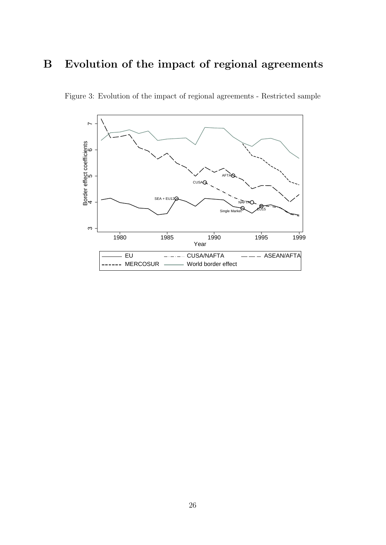# B Evolution of the impact of regional agreements



Figure 3: Evolution of the impact of regional agreements - Restricted sample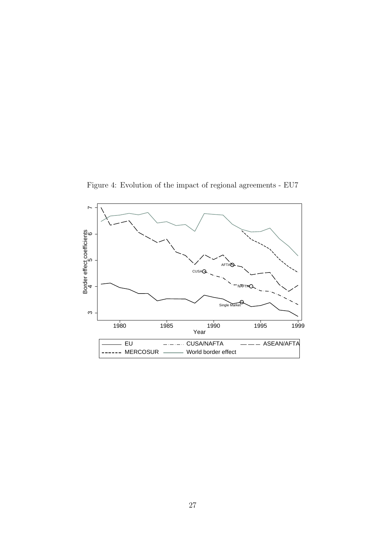Figure 4: Evolution of the impact of regional agreements - EU7

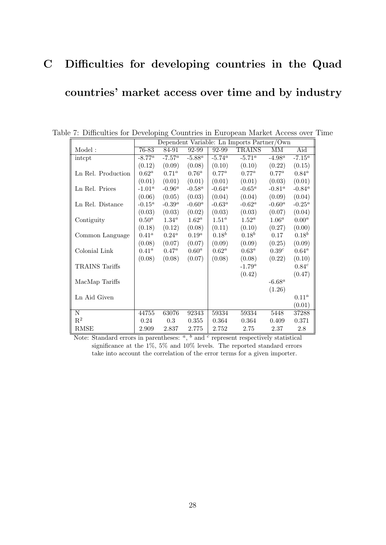# C Difficulties for developing countries in the Quad countries' market access over time and by industry

Table 7: Difficulties for Developing Countries in European Market Access over Time

|                    |           | Dependent Variable: Ln Imports Partner/Own |           |            |               |                   |            |  |  |  |  |
|--------------------|-----------|--------------------------------------------|-----------|------------|---------------|-------------------|------------|--|--|--|--|
| Model:             | $76 - 83$ | 84-91                                      | 92-99     | 92-99      | <b>TRAINS</b> | MМ                | Aid        |  |  |  |  |
|                    |           | $-7.57^a$                                  | $-5.88^a$ | $-5.74^a$  | $-5.71^a$     | $-4.98^a$         | $-7.15^a$  |  |  |  |  |
| intept             | $-8.77^a$ |                                            |           |            |               |                   |            |  |  |  |  |
|                    | (0.12)    | (0.09)                                     | (0.08)    | (0.10)     | (0.10)        | (0.22)            | (0.15)     |  |  |  |  |
| Ln Rel. Production | $0.62^a$  | $0.71^{\circ}$                             | $0.76^a$  | $0.77^a$   | $0.77^a$      | $0.77^{\rm a}$    | $0.84^a$   |  |  |  |  |
|                    | (0.01)    | (0.01)                                     | (0.01)    | (0.01)     | (0.01)        | (0.03)            | (0.01)     |  |  |  |  |
| Ln Rel. Prices     | $-1.01^a$ | $-0.96^a$                                  | $-0.58^a$ | $-0.64^a$  | $-0.65^a$     | $-0.81^a$         | -0.84 $^a$ |  |  |  |  |
|                    | (0.06)    | (0.05)                                     | (0.03)    | (0.04)     | (0.04)        | (0.09)            | (0.04)     |  |  |  |  |
| Ln Rel. Distance   | $-0.15^a$ | $-0.39^a$                                  | $-0.60^a$ | $-0.63^a$  | $-0.62^a$     | $-0.60^a$         | $-0.25^a$  |  |  |  |  |
|                    | (0.03)    | (0.03)                                     | (0.02)    | (0.03)     | (0.03)        | (0.07)            | (0.04)     |  |  |  |  |
| Contiguity         | $0.50^a$  | $1.34^a$                                   | $1.62^a$  | $1.51^a$   | $1.52^a$      | $1.06^a$          | $0.00^a$   |  |  |  |  |
|                    | (0.18)    | (0.12)                                     | (0.08)    | (0.11)     | (0.10)        | (0.27)            | (0.00)     |  |  |  |  |
| Common Language    | $0.41^a$  | $0.24^a$                                   | $0.19^a$  | $0.18^{b}$ | $0.18^{b}$    | 0.17              | $0.18^{b}$ |  |  |  |  |
|                    | (0.08)    | (0.07)                                     | (0.07)    | (0.09)     | (0.09)        | (0.25)            | (0.09)     |  |  |  |  |
| Colonial Link      | $0.41^a$  | $0.47^a$                                   | $0.60^a$  | $0.62^a$   | $0.63^a$      | 0.39 <sup>c</sup> | $0.64^a$   |  |  |  |  |
|                    |           |                                            |           |            |               |                   |            |  |  |  |  |
|                    | (0.08)    | (0.08)                                     | (0.07)    | (0.08)     | (0.08)        | (0.22)            | (0.10)     |  |  |  |  |
| TRAINS Tariffs     |           |                                            |           |            | $-1.79^a$     |                   | $0.84^c$   |  |  |  |  |
|                    |           |                                            |           |            | (0.42)        |                   | (0.47)     |  |  |  |  |
| MacMap Tariffs     |           |                                            |           |            |               | $-6.68^a$         |            |  |  |  |  |
|                    |           |                                            |           |            |               | (1.26)            |            |  |  |  |  |
| Ln Aid Given       |           |                                            |           |            |               |                   | $0.11^a$   |  |  |  |  |
|                    |           |                                            |           |            |               |                   | (0.01)     |  |  |  |  |
| N                  | 44755     | 63076                                      | 92343     | 59334      | 59334         | 5448              | 37288      |  |  |  |  |
| $\mathbf{R}^2$     | 0.24      | 0.3                                        | 0.355     | 0.364      | 0.364         | 0.409             | 0.371      |  |  |  |  |
| <b>RMSE</b>        | 2.909     | 2.837                                      | $2.775\,$ | 2.752      | 2.75          | 2.37              | 2.8        |  |  |  |  |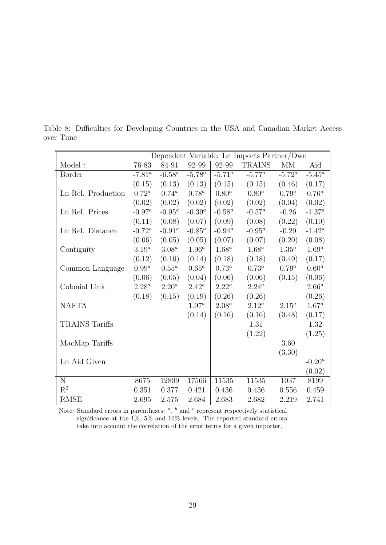|                       | Dependent Variable: Ln Imports Partner/Own |                |                  |            |               |           |                  |  |  |
|-----------------------|--------------------------------------------|----------------|------------------|------------|---------------|-----------|------------------|--|--|
| Model:                | 76-83                                      | 84-91          | 92-99            | 92-99      | <b>TRAINS</b> | <b>MM</b> | Aid              |  |  |
| Border                | $-7.81^a$                                  | $-6.58^a$      | $\text{-}5.78^a$ | $-5.71^a$  | $-5.77^a$     | $-5.72^a$ | $\text{-}5.45^a$ |  |  |
|                       | (0.15)                                     | (0.13)         | (0.13)           | (0.15)     | (0.15)        | (0.46)    | (0.17)           |  |  |
| Ln Rel. Production    | $0.72^{\circ}$                             | $0.74^{\circ}$ | $0.78^{\circ}$   | $0.80^a$   | $0.80^{a}$    | $0.79^a$  | $0.76^a$         |  |  |
|                       | (0.02)                                     | (0.02)         | (0.02)           | (0.02)     | (0.02)        | (0.04)    | (0.02)           |  |  |
| Ln Rel. Prices        | $-0.97^a$                                  | $-0.95^a$      | $-0.39^a$        | $-0.58^a$  | $-0.57^a$     | $-0.26$   | $-1.37^a$        |  |  |
|                       | (0.11)                                     | (0.08)         | (0.07)           | (0.09)     | (0.08)        | (0.22)    | (0.10)           |  |  |
| Ln Rel. Distance      | $-0.72^a$                                  | $-0.91^a$      | $-0.85^a$        | -0.94 $^a$ | $-0.95^a$     | $-0.29$   | $-1.42^a$        |  |  |
|                       | (0.06)                                     | (0.05)         | (0.05)           | (0.07)     | (0.07)        | (0.20)    | (0.08)           |  |  |
| Contiguity            | $3.19^a$                                   | $3.08^a$       | $1.96^a$         | $1.68^a$   | $1.68^a$      | $1.35^a$  | $1.69^a$         |  |  |
|                       | (0.12)                                     | (0.10)         | (0.14)           | (0.18)     | (0.18)        | (0.49)    | (0.17)           |  |  |
| Common Language       | $0.99^a$                                   | $0.55^a$       | $0.65^a$         | $0.73^a$   | $0.73^a$      | $0.79^a$  | $0.60^a$         |  |  |
|                       | (0.06)                                     | (0.05)         | (0.04)           | (0.06)     | (0.06)        | (0.15)    | (0.06)           |  |  |
| Colonial Link         | $2.28^a$                                   | $2.20^a$       | $2.42^a$         | $2.22^a$   | $2.24^a$      |           | $2.66^a$         |  |  |
|                       | (0.18)                                     | (0.15)         | (0.19)           | (0.26)     | (0.26)        |           | (0.26)           |  |  |
| <b>NAFTA</b>          |                                            |                | $1.97^a$         | $2.08^a$   | $2.12^a$      | $2.15^a$  | $1.67^a$         |  |  |
|                       |                                            |                | (0.14)           | (0.16)     | (0.16)        | (0.48)    | (0.17)           |  |  |
| <b>TRAINS Tariffs</b> |                                            |                |                  |            | 1.31          |           | 1.32             |  |  |
|                       |                                            |                |                  |            | (1.22)        |           | (1.25)           |  |  |
| MacMap Tariffs        |                                            |                |                  |            |               | 3.60      |                  |  |  |
|                       |                                            |                |                  |            |               | (3.30)    |                  |  |  |
| Ln Aid Given          |                                            |                |                  |            |               |           | $-0.20^a$        |  |  |
|                       |                                            |                |                  |            |               |           | (0.02)           |  |  |
| $\mathbf N$           | 8675                                       | 12809          | 17566            | 11535      | 11535         | 1037      | 8199             |  |  |
| $\mathbf{R}^2$        | $0.351\,$                                  | 0.377          | 0.421            | 0.436      | 0.436         | 0.556     | 0.459            |  |  |
| <b>RMSE</b>           | 2.695                                      | 2.575          | 2.684            | 2.683      | 2.682         | 2.219     | 2.741            |  |  |

Table 8: Difficulties for Developing Countries in the USA and Canadian Market Access over Time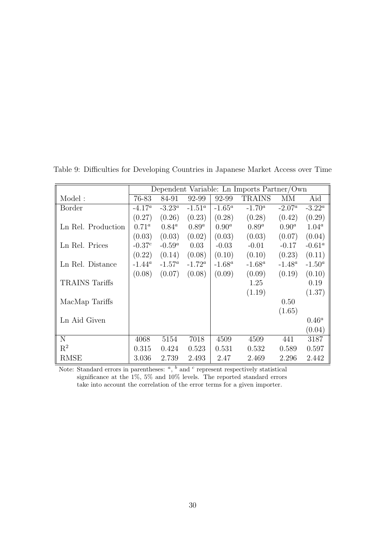|                       | Dependent Variable: Ln Imports Partner/Own |                |                 |           |               |           |           |  |
|-----------------------|--------------------------------------------|----------------|-----------------|-----------|---------------|-----------|-----------|--|
| Model:                | 76-83                                      | 84-91          | 92-99           | 92-99     | <b>TRAINS</b> | MМ        | Aid       |  |
| Border                | $-4.17^a$                                  | $-3.23^a$      | $-1.51^a$       | $-1.65^a$ | $-1.70^a$     | $-2.07^a$ | $-3.22^a$ |  |
|                       | (0.27)                                     | (0.26)         | (0.23)          | (0.28)    | (0.28)        | (0.42)    | (0.29)    |  |
| Ln Rel. Production    | $0.71^{\circ}$                             | $0.84^{\circ}$ | $0.89^{a}$      | $0.90^a$  | $0.89^a$      | $0.90^a$  | $1.04^a$  |  |
|                       | (0.03)                                     | (0.03)         | (0.02)          | (0.03)    | (0.03)        | (0.07)    | (0.04)    |  |
| Ln Rel. Prices        | $-0.37c$                                   | $-0.59^a$      | 0.03            | $-0.03$   | $-0.01$       | $-0.17$   | $-0.61^a$ |  |
|                       | (0.22)                                     | (0.14)         | (0.08)          | (0.10)    | (0.10)        | (0.23)    | (0.11)    |  |
| Ln Rel. Distance      | $-1.44^a$                                  | $-1.57^a$      | $-1.72^{\circ}$ | $-1.68^a$ | $-1.68^a$     | $-1.48^a$ | $-1.50^a$ |  |
|                       | (0.08)                                     | (0.07)         | (0.08)          | (0.09)    | (0.09)        | (0.19)    | (0.10)    |  |
| <b>TRAINS Tariffs</b> |                                            |                |                 |           | 1.25          |           | 0.19      |  |
|                       |                                            |                |                 |           | (1.19)        |           | (1.37)    |  |
| MacMap Tariffs        |                                            |                |                 |           |               | 0.50      |           |  |
|                       |                                            |                |                 |           |               | (1.65)    |           |  |
| Ln Aid Given          |                                            |                |                 |           |               |           | $0.46^a$  |  |
|                       |                                            |                |                 |           |               |           | (0.04)    |  |
| N                     | 4068                                       | 5154           | 7018            | 4509      | 4509          | 441       | 3187      |  |
| $\mathbf{R}^2$        | 0.315                                      | 0.424          | 0.523           | 0.531     | 0.532         | 0.589     | 0.597     |  |
| <b>RMSE</b>           | 3.036                                      | 2.739          | 2.493           | 2.47      | 2.469         | 2.296     | 2.442     |  |

Table 9: Difficulties for Developing Countries in Japanese Market Access over Time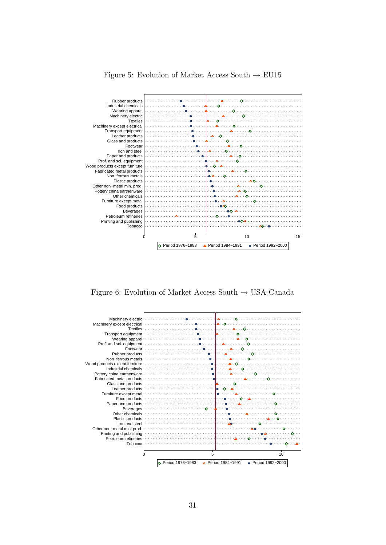

Figure 5: Evolution of Market Access South  $\rightarrow$  EU15

Figure 6: Evolution of Market Access South  $\rightarrow$  USA-Canada